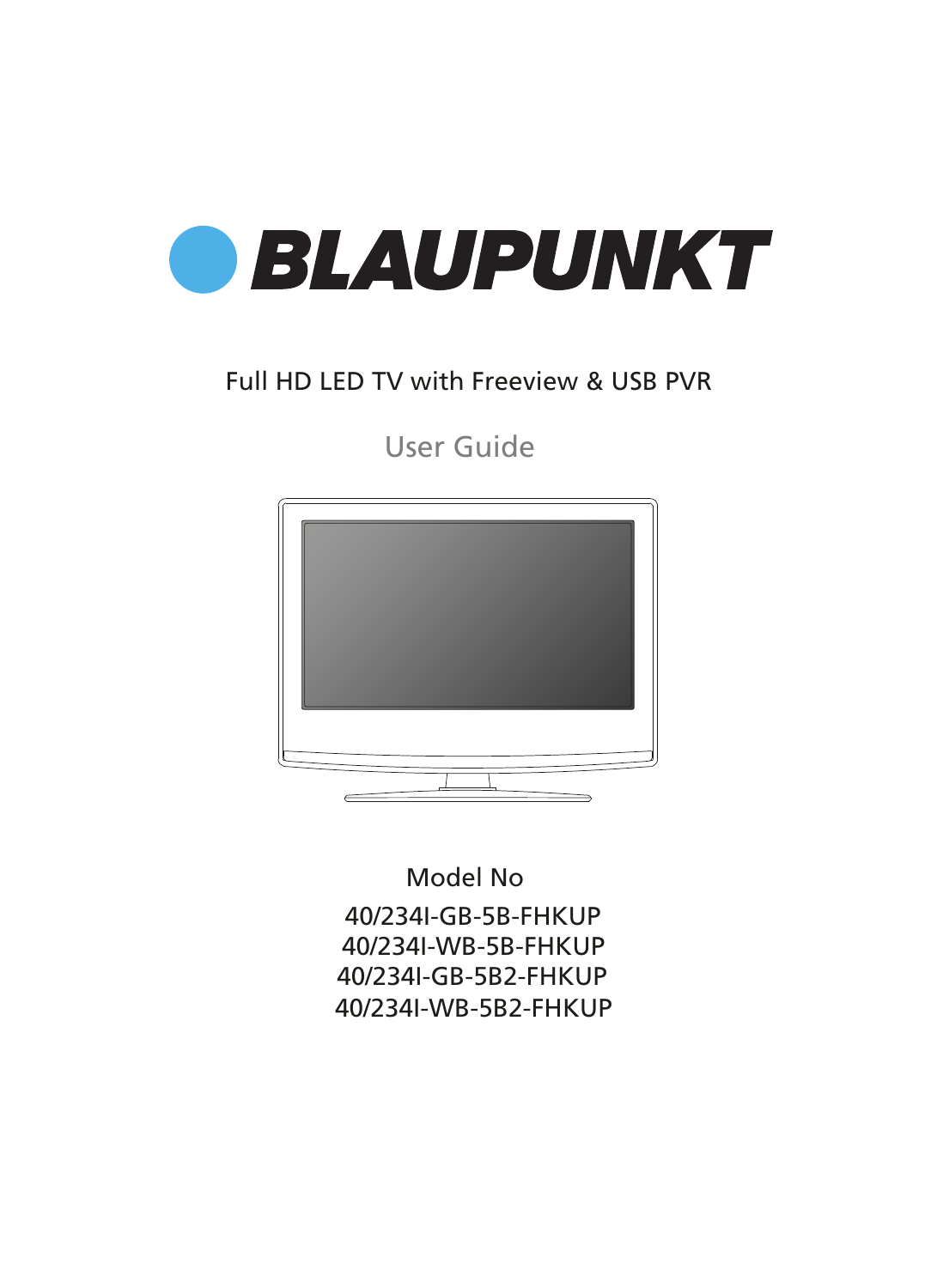

### Full HD LED TV with Freeview & USB PVR

User Guide



40/234I-GB-5B-FHKUP 40/234I-WB-5B-FHKUP 40/234I-GB-5B2-FHKUP 40/234I-WB-5B2-FHKUP Model No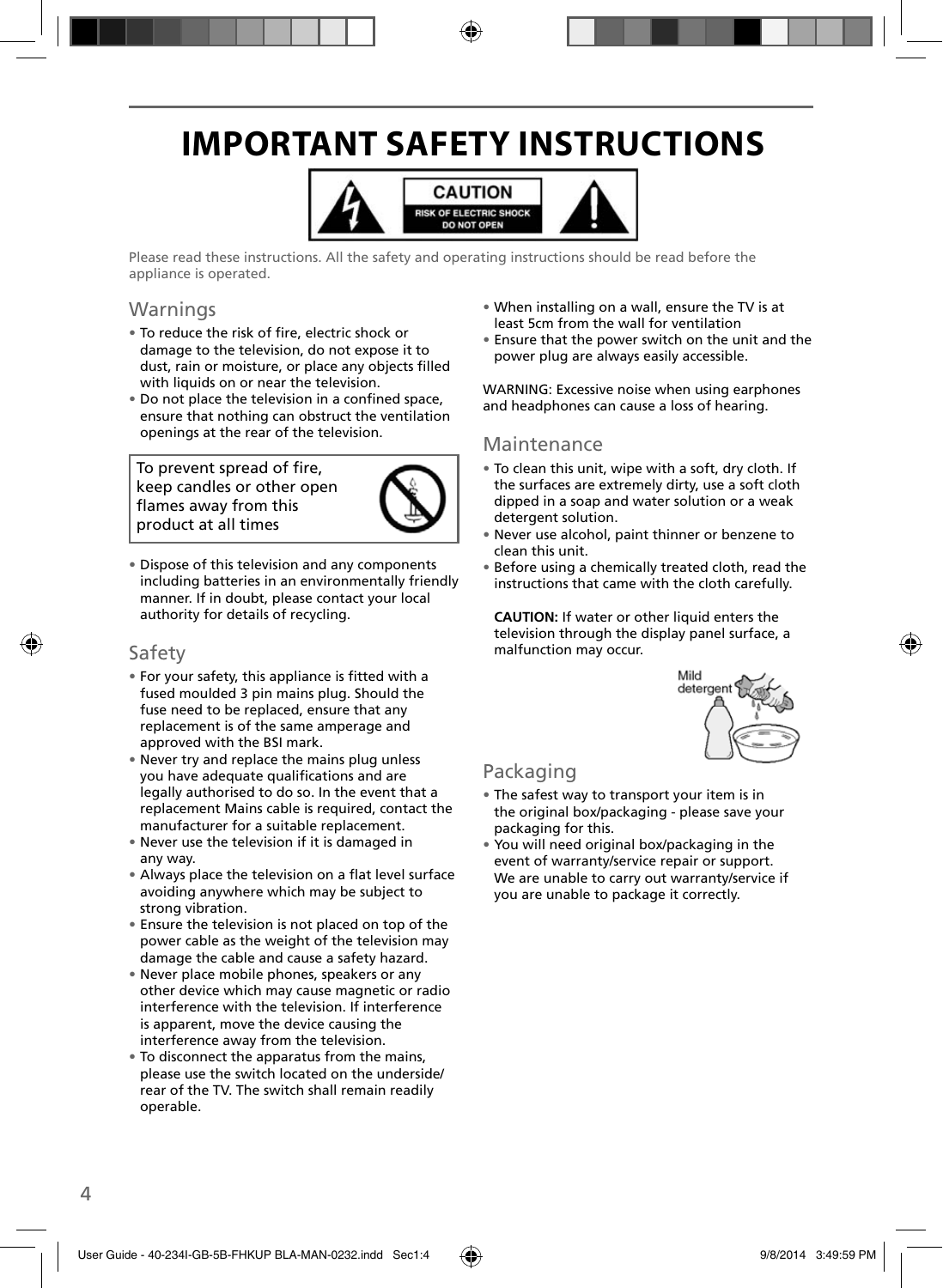# **IMPORTANT SAFETY INSTRUCTIONS**



Please read these instructions. All the safety and operating instructions should be read before the appliance is operated.

### Warnings

- To reduce the risk of fire, electric shock or damage to the television, do not expose it to dust, rain or moisture, or place any objects filled with liquids on or near the television.
- Do not place the television in a confined space, ensure that nothing can obstruct the ventilation openings at the rear of the television.

To prevent spread of fire, keep candles or other open flames away from this product at all times



• Dispose of this television and any components including batteries in an environmentally friendly manner. If in doubt, please contact your local authority for details of recycling.

### Safety

- For your safety, this appliance is fitted with a fused moulded 3 pin mains plug. Should the fuse need to be replaced, ensure that any replacement is of the same amperage and approved with the BSI mark.
- Never try and replace the mains plug unless you have adequate qualifications and are legally authorised to do so. In the event that a replacement Mains cable is required, contact the manufacturer for a suitable replacement.
- Never use the television if it is damaged in any way.
- Always place the television on a flat level surface avoiding anywhere which may be subject to strong vibration.
- Ensure the television is not placed on top of the power cable as the weight of the television may damage the cable and cause a safety hazard.
- Never place mobile phones, speakers or any other device which may cause magnetic or radio interference with the television. If interference is apparent, move the device causing the interference away from the television.
- To disconnect the apparatus from the mains, please use the switch located on the underside/ rear of the TV. The switch shall remain readily operable.
- When installing on a wall, ensure the TV is at least 5cm from the wall for ventilation
- Ensure that the power switch on the unit and the power plug are always easily accessible.

WARNING: Excessive noise when using earphones and headphones can cause a loss of hearing.

### Maintenance

- To clean this unit, wipe with a soft, dry cloth. If the surfaces are extremely dirty, use a soft cloth dipped in a soap and water solution or a weak detergent solution.
- Never use alcohol, paint thinner or benzene to clean this unit.
- Before using a chemically treated cloth, read the instructions that came with the cloth carefully.

**CAUTION:** If water or other liquid enters the television through the display panel surface, a malfunction may occur.



### Packaging

- The safest way to transport your item is in the original box/packaging - please save your packaging for this.
- You will need original box/packaging in the event of warranty/service repair or support. We are unable to carry out warranty/service if you are unable to package it correctly.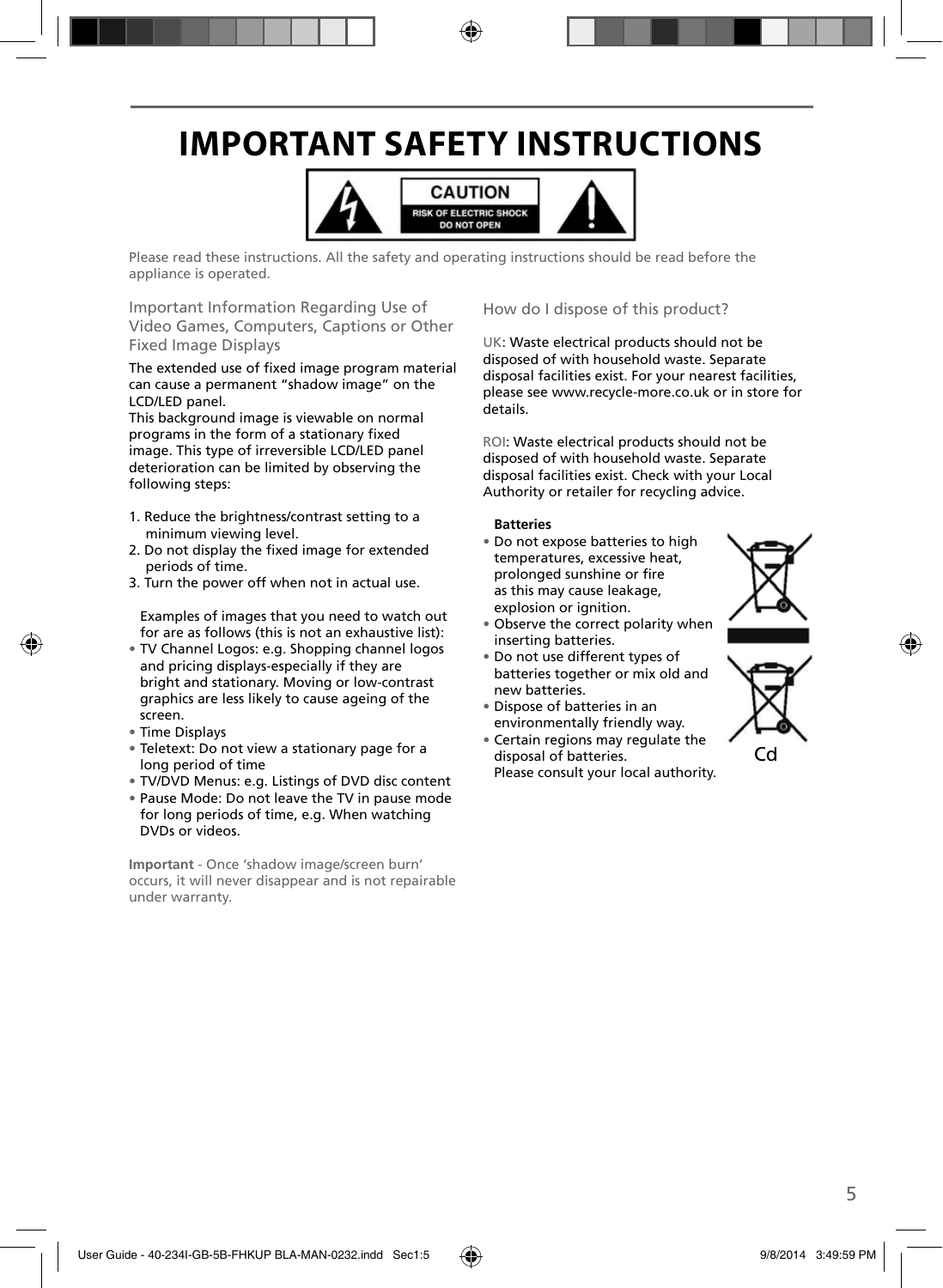# **IMPORTANT SAFETY INSTRUCTIONS**



Please read these instructions. All the safety and operating instructions should be read before the appliance is operated.

Important Information Regarding Use of Video Games, Computers, Captions or Other Fixed Image Displays

The extended use of fixed image program material can cause a permanent "shadow image" on the LCD/LED panel.

This background image is viewable on normal programs in the form of a stationary fixed image. This type of irreversible LCD/LED panel deterioration can be limited by observing the following steps:

- 1. Reduce the brightness/contrast setting to a minimum viewing level.
- 2. Do not display the fixed image for extended periods of time.
- 3. Turn the power off when not in actual use.

Examples of images that you need to watch out for are as follows (this is not an exhaustive list):

- TV Channel Logos: e.g. Shopping channel logos and pricing displays-especially if they are bright and stationary. Moving or low-contrast graphics are less likely to cause ageing of the screen.
- Time Displays
- Teletext: Do not view a stationary page for a long period of time
- TV/DVD Menus: e.g. Listings of DVD disc content
- Pause Mode: Do not leave the TV in pause mode for long periods of time, e.g. When watching DVDs or videos.

**Important** - Once 'shadow image/screen burn' occurs, it will never disappear and is not repairable under warranty.

How do I dispose of this product?

UK: Waste electrical products should not be disposed of with household waste. Separate disposal facilities exist. For your nearest facilities, please see www.recycle-more.co.uk or in store for details.

ROI: Waste electrical products should not be disposed of with household waste. Separate disposal facilities exist. Check with your Local Authority or retailer for recycling advice.

#### **Batteries**

• Do not expose batteries to high temperatures, excessive heat, prolonged sunshine or fire as this may cause leakage, explosion or ignition.



- Observe the correct polarity when inserting batteries.
- Do not use different types of batteries together or mix old and new batteries.
- Dispose of batteries in an environmentally friendly way.
- Certain regions may regulate the disposal of batteries. Please consult your local authority.



Cd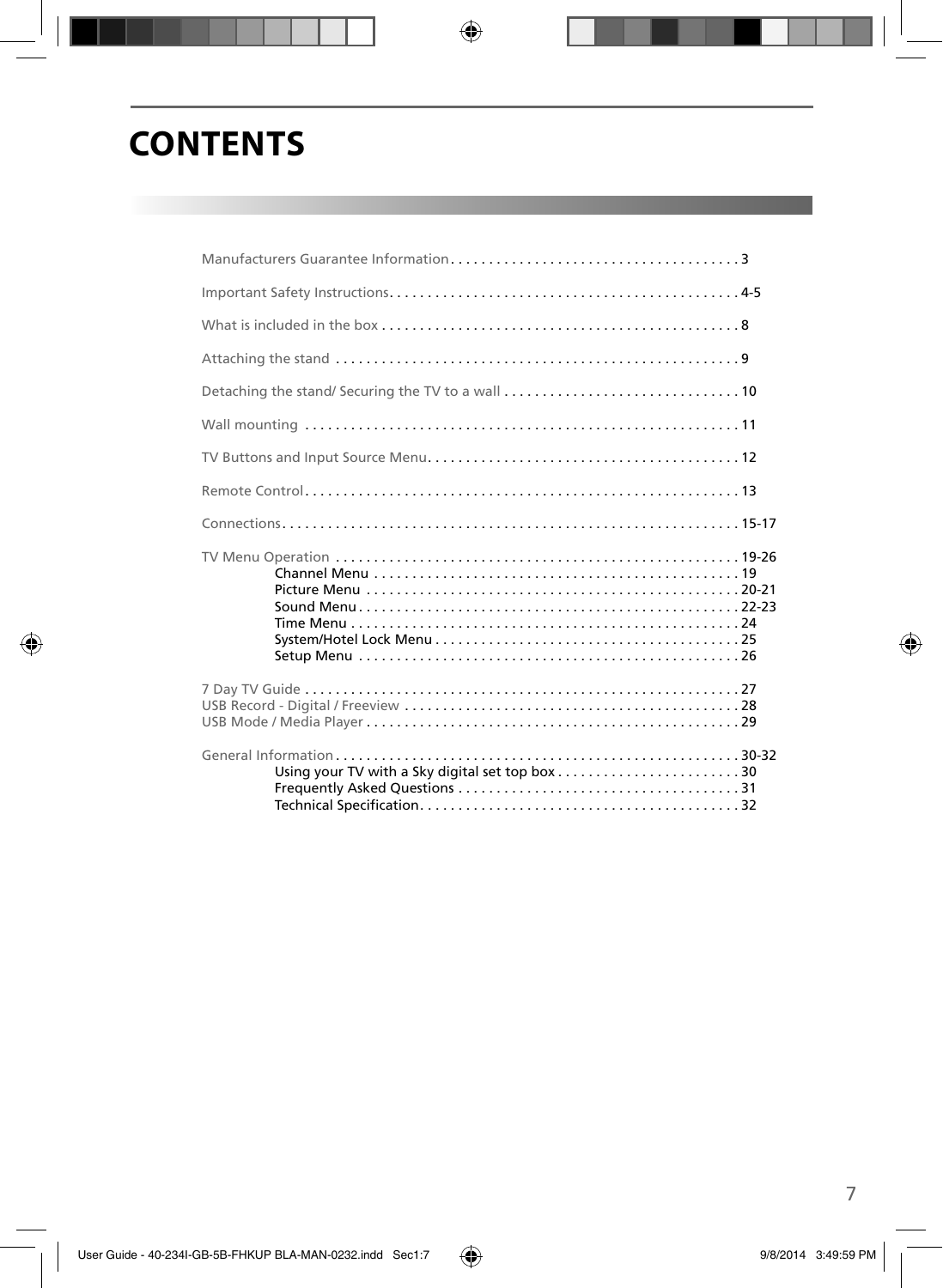# **CONTENTS**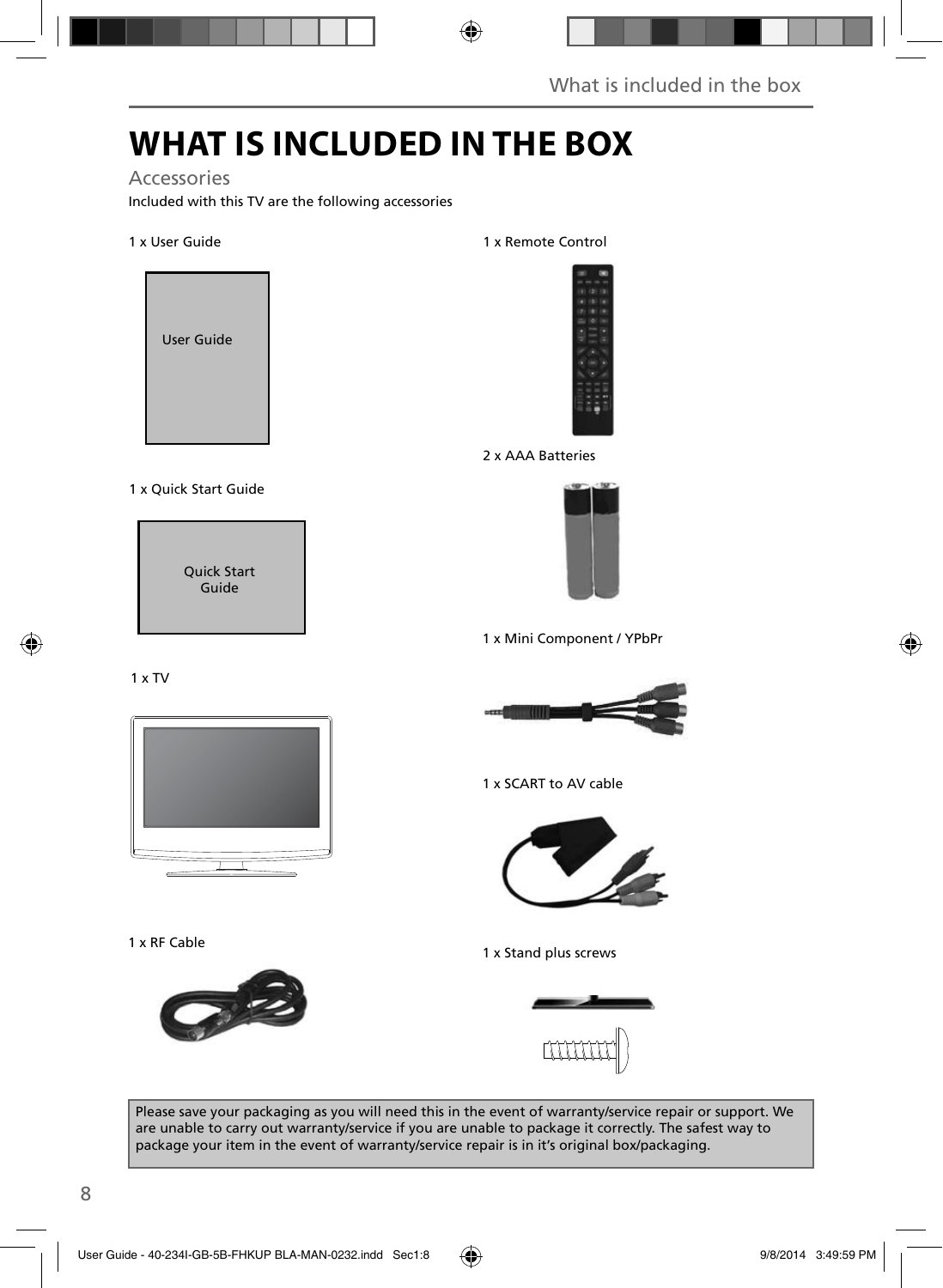# **WHAT IS INCLUDED IN THE BOX**

### Accessories

Included with this TV are the following accessories

#### 1 x User Guide



#### 1 x Quick Start Guide

Quick Start Guide

# 1 x Remote Control



2 x AAA Batteries



1 x Mini Component / YPbPr





1 x RF Cable



1 x SCART to AV cable



1 x Stand plus screws



Please save your packaging as you will need this in the event of warranty/service repair or support. We are unable to carry out warranty/service if you are unable to package it correctly. The safest way to package your item in the event of warranty/service repair is in it's original box/packaging.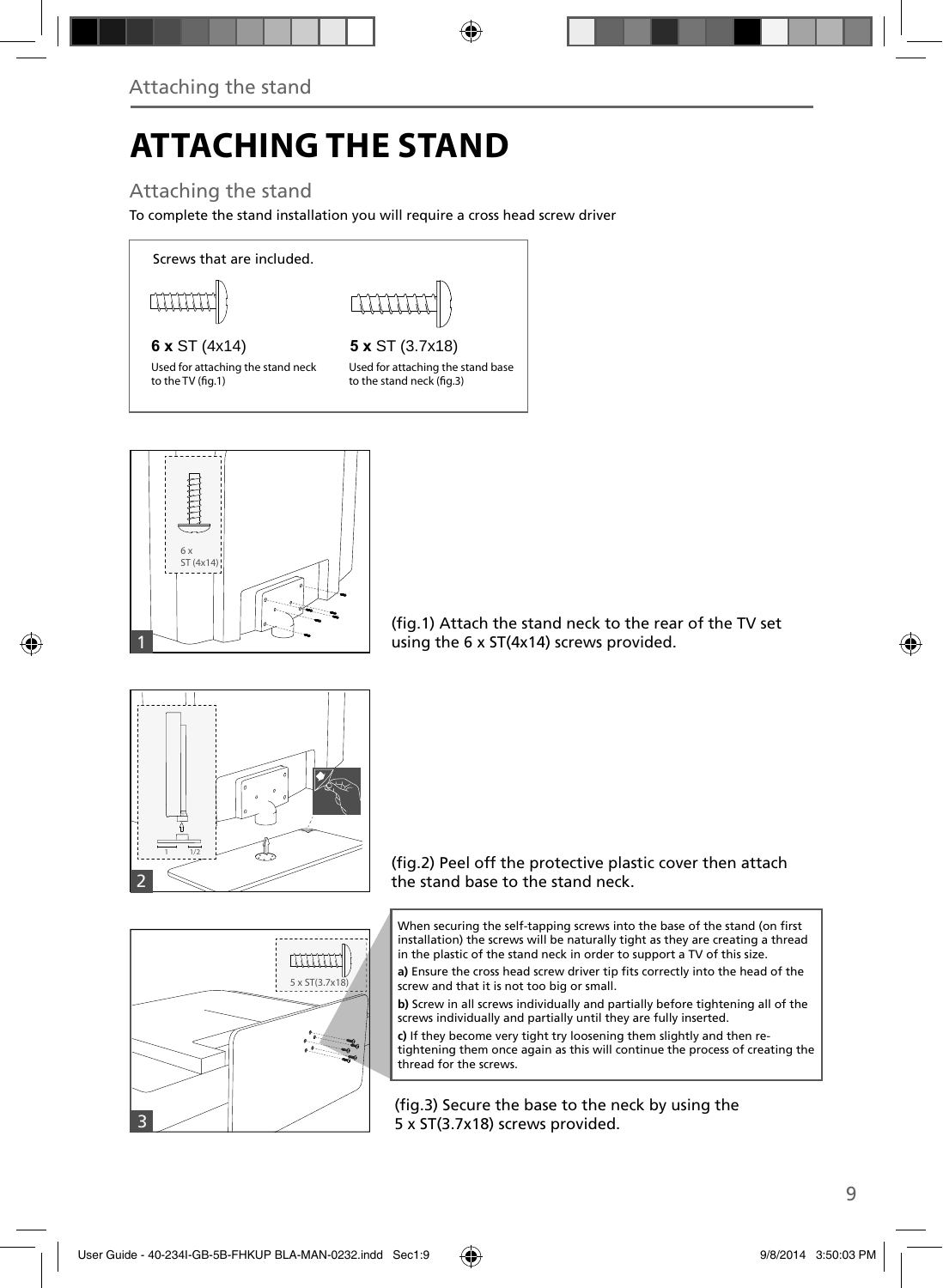# **ATTACHING THE STAND**

### Attaching the stand

To complete the stand installation you will require a cross head screw driver

Screws that are included.



Used for attaching the stand neck to the TV (fig.1)

**6 x** ST (4x14) **5 x** ST (3.7x18) Used for attaching the stand base to the stand neck (fig.3)



(fig.1) Attach the stand neck to the rear of the TV set using the 6 x ST(4x14) screws provided.



#### (fig.2) Peel off the protective plastic cover then attach the stand base to the stand neck.

When securing the self-tapping screws into the base of the stand (on first installation) the screws will be naturally tight as they are creating a thread in the plastic of the stand neck in order to support a TV of this size.

a) Ensure the cross head screw driver tip fits correctly into the head of the screw and that it is not too big or small.

**b)** Screw in all screws individually and partially before tightening all of the screws individually and partially until they are fully inserted.

**c)** If they become very tight try loosening them slightly and then retightening them once again as this will continue the process of creating the thread for the screws.

(fig.3) Secure the base to the neck by using the 5 x ST(3.7x18) screws provided.



3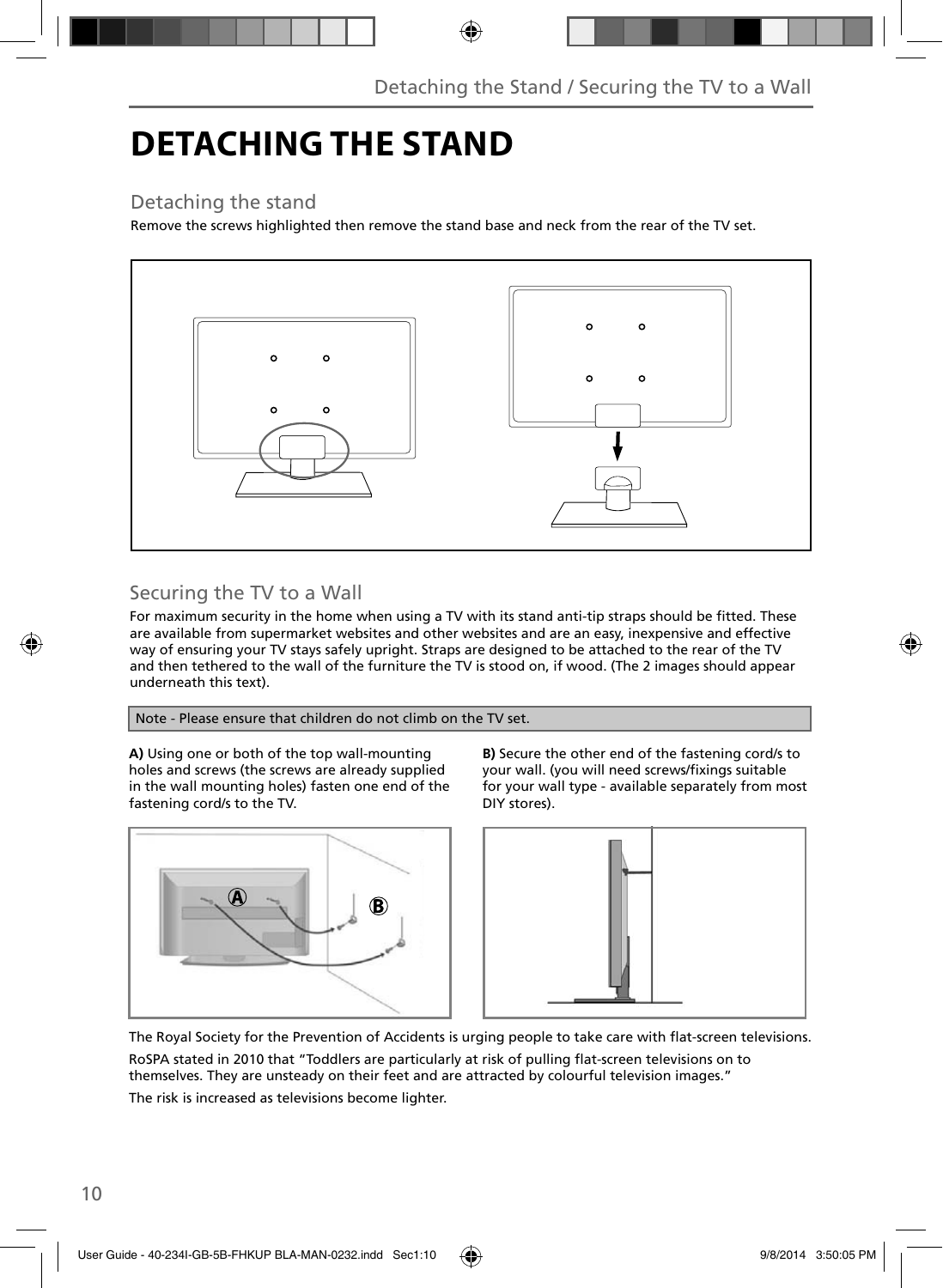# **DETACHING THE STAND**

### Detaching the stand

Remove the screws highlighted then remove the stand base and neck from the rear of the TV set.



### Securing the TV to a Wall

For maximum security in the home when using a TV with its stand anti-tip straps should be fitted. These are available from supermarket websites and other websites and are an easy, inexpensive and effective way of ensuring your TV stays safely upright. Straps are designed to be attached to the rear of the TV and then tethered to the wall of the furniture the TV is stood on, if wood. (The 2 images should appear underneath this text).

Note - Please ensure that children do not climb on the TV set.

**A)** Using one or both of the top wall-mounting holes and screws (the screws are already supplied in the wall mounting holes) fasten one end of the fastening cord/s to the TV.



**B)** Secure the other end of the fastening cord/s to your wall. (you will need screws/fixings suitable for your wall type - available separately from most DIY stores).



The Royal Society for the Prevention of Accidents is urging people to take care with flat-screen televisions.

RoSPA stated in 2010 that "Toddlers are particularly at risk of pulling flat-screen televisions on to themselves. They are unsteady on their feet and are attracted by colourful television images." The risk is increased as televisions become lighter.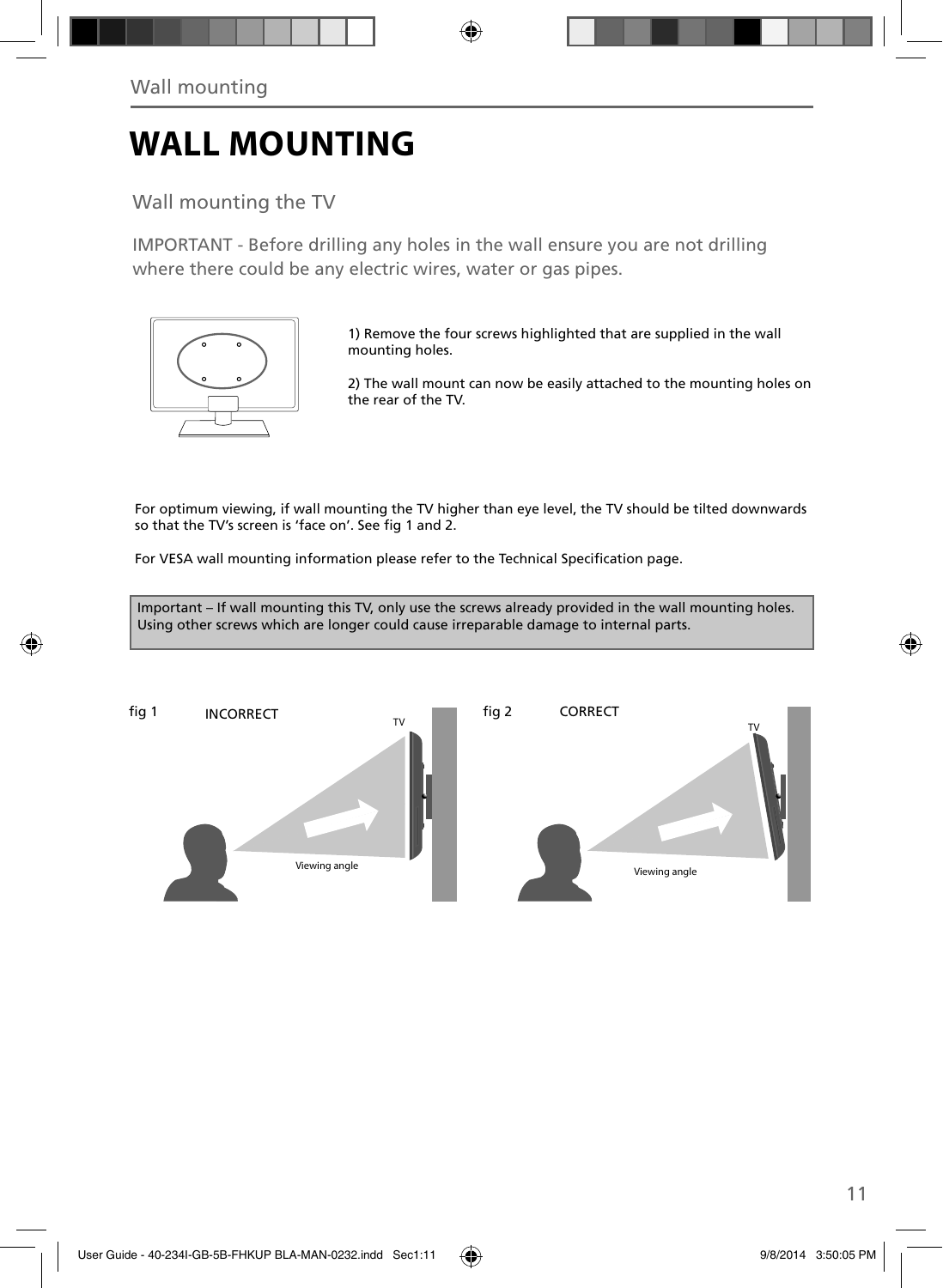# **WALL MOUNTING**

Wall mounting the TV

IMPORTANT - Before drilling any holes in the wall ensure you are not drilling where there could be any electric wires, water or gas pipes.



1) Remove the four screws highlighted that are supplied in the wall mounting holes.

2) The wall mount can now be easily attached to the mounting holes on the rear of the TV.

For optimum viewing, if wall mounting the TV higher than eye level, the TV should be tilted downwards so that the TV's screen is 'face on'. See fig 1 and 2.

For VESA wall mounting information please refer to the Technical Specification page.

Important – If wall mounting this TV, only use the screws already provided in the wall mounting holes. Using other screws which are longer could cause irreparable damage to internal parts.

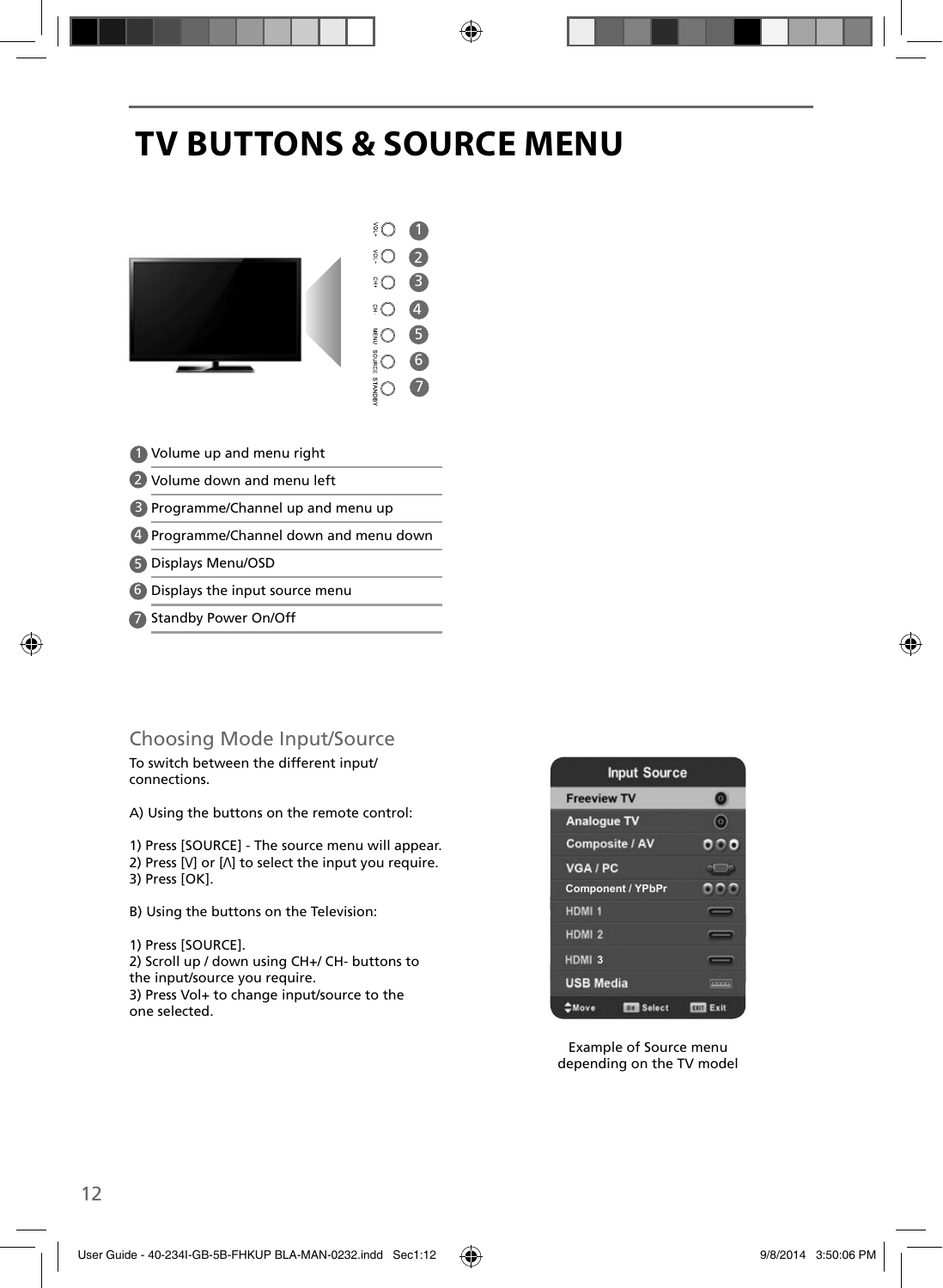# **TV BUTTONS & SOURCE MENU**



- Volume up and menu right 1
- 2 Volume down and menu left
- **B** Programme/Channel up and menu up
- Programme/Channel down and menu down 4
- Displays Menu/OSD 5
- 6) Displays the input source menu
- 7 Standby Power On/Off

### Choosing Mode Input/Source

To switch between the different input/ connections.

A) Using the buttons on the remote control:

1) Press [SOURCE] - The source menu will appear. 2) Press  $[V]$  or  $[\Lambda]$  to select the input you require. 3) Press [OK].

- B) Using the buttons on the Television:
- 1) Press [SOURCE].

2) Scroll up / down using CH+/ CH- buttons to the input/source you require. 3) Press Vol+ to change input/source to the one selected.



Example of Source menu depending on the TV model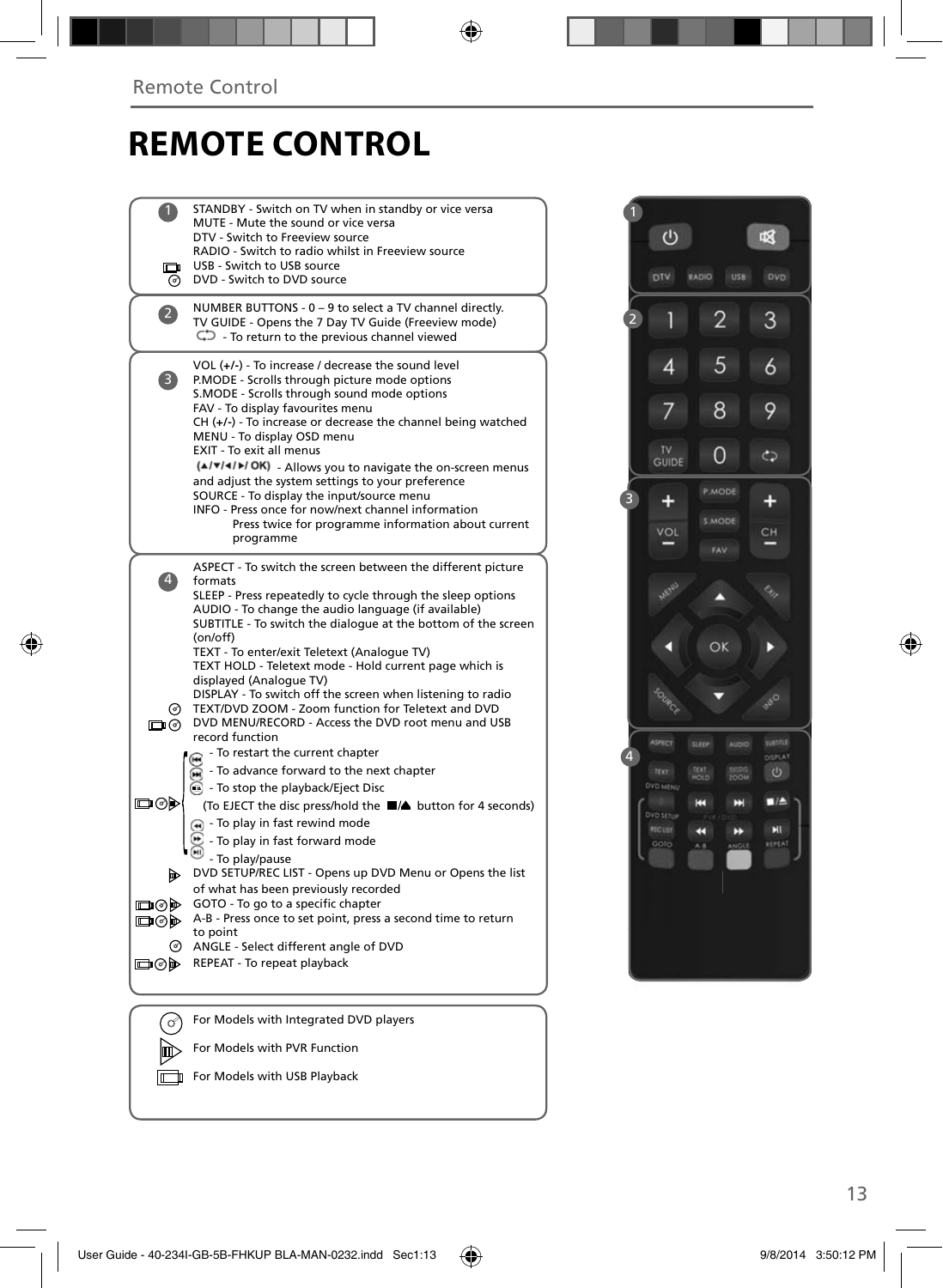### **REMOTE CONTROL**

|                     | STANDBY - Switch on TV when in standby or vice versa<br>MUTE - Mute the sound or vice versa<br>DTV - Switch to Freeview source                                                                                                                                                                                                                                                                                |  |
|---------------------|---------------------------------------------------------------------------------------------------------------------------------------------------------------------------------------------------------------------------------------------------------------------------------------------------------------------------------------------------------------------------------------------------------------|--|
| $\blacksquare$<br>ര | RADIO - Switch to radio whilst in Freeview source<br>USB - Switch to USB source<br>DVD - Switch to DVD source                                                                                                                                                                                                                                                                                                 |  |
| $\overline{2}$      | NUMBER BUTTONS - 0 - 9 to select a TV channel directly.<br>TV GUIDE - Opens the 7 Day TV Guide (Freeview mode)<br>$\mathbb{C}$ - To return to the previous channel viewed                                                                                                                                                                                                                                     |  |
| 3)                  | VOL $(+/-)$ - To increase / decrease the sound level<br>P.MODE - Scrolls through picture mode options<br>S.MODE - Scrolls through sound mode options<br>FAV - To display favourites menu<br>$CH (+/-)$ - To increase or decrease the channel being watched<br>MENU - To display OSD menu<br>EXIT - To exit all menus<br>(A/V/4/M/OK) - Allows you to navigate the on-screen menus                             |  |
|                     | and adjust the system settings to your preference<br>SOURCE - To display the input/source menu<br>INFO - Press once for now/next channel information<br>Press twice for programme information about current<br>programme                                                                                                                                                                                      |  |
| $\ket{4}$           | ASPECT - To switch the screen between the different picture<br>formats<br>SLEEP - Press repeatedly to cycle through the sleep options<br>AUDIO - To change the audio language (if available)<br>SUBTITLE - To switch the dialogue at the bottom of the screen<br>(on/off)<br>TEXT - To enter/exit Teletext (Analogue TV)<br>TEXT HOLD - Teletext mode - Hold current page which is<br>displayed (Analoque TV) |  |
| ⊚<br>⊡∩⊚            | DISPLAY - To switch off the screen when listening to radio<br>TEXT/DVD ZOOM - Zoom function for Teletext and DVD<br>DVD MENU/RECORD - Access the DVD root menu and USB<br>record function                                                                                                                                                                                                                     |  |
| య⊚⊡                 | - To restart the current chapter<br>To advance forward to the next chapter<br>• To stop the playback/Eject Disc<br>(To EJECT the disc press/hold the ■▲ button for 4 seconds)<br>n - To play in fast rewind mode<br>- To play in fast forward mode                                                                                                                                                            |  |
| DD.<br>⊡ெ⊗ி⊫        | - To play/pause<br>DVD SETUP/REC LIST - Opens up DVD Menu or Opens the list<br>of what has been previously recorded<br>GOTO - To go to a specific chapter                                                                                                                                                                                                                                                     |  |
| య⊚⊡                 | A-B - Press once to set point, press a second time to return<br>to point<br>ANGLE - Select different angle of DVD                                                                                                                                                                                                                                                                                             |  |
| య⊚⊡                 | REPEAT - To repeat playback                                                                                                                                                                                                                                                                                                                                                                                   |  |
|                     |                                                                                                                                                                                                                                                                                                                                                                                                               |  |
| ග                   | For Models with Integrated DVD players                                                                                                                                                                                                                                                                                                                                                                        |  |

For Models with PVR Function For Models with USB Playback

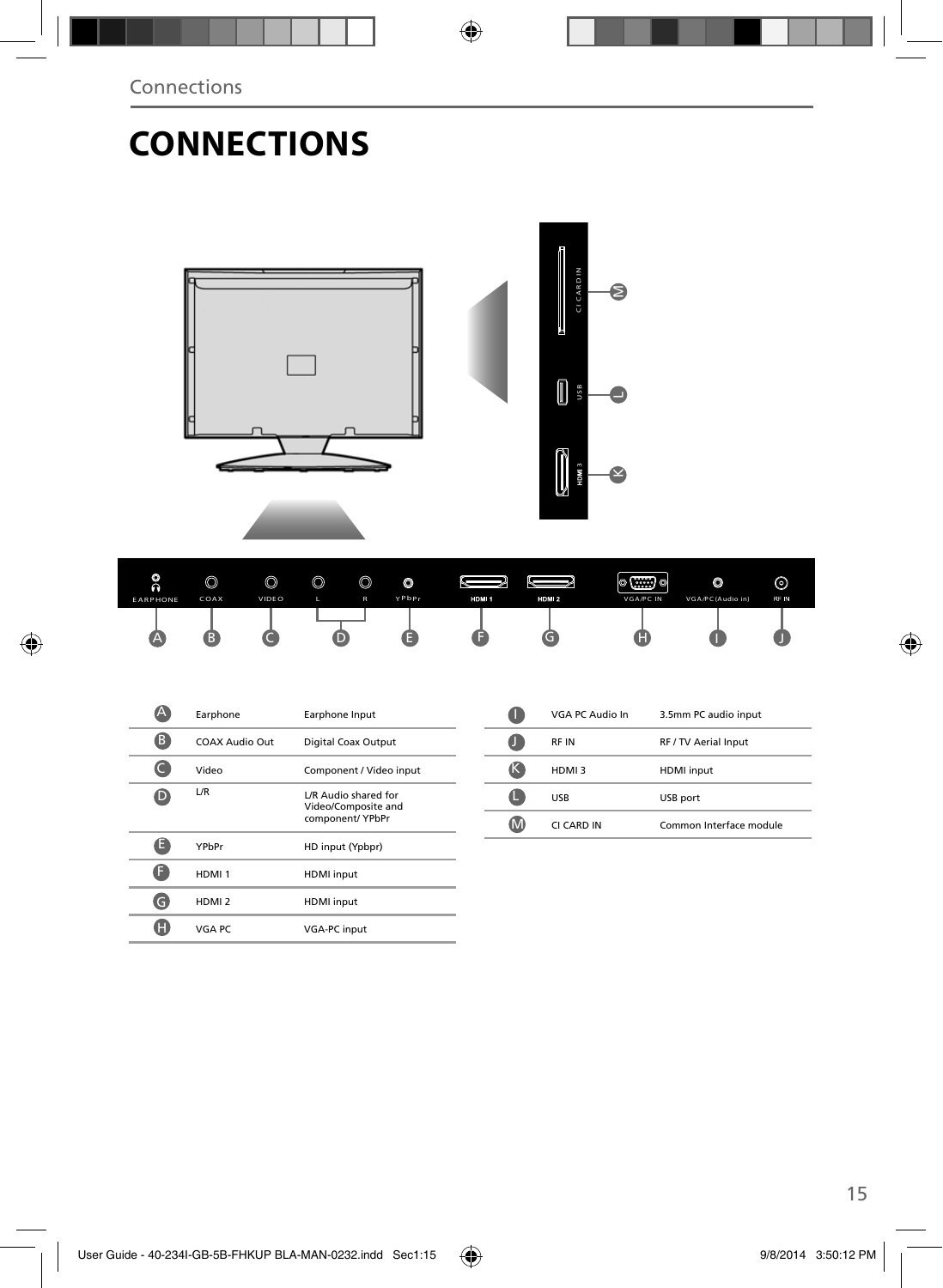# **CONNECTIONS**

CI CARD IN **B CI CAR D IN** € K M **US**  $\overline{\phantom{a}}$ **3** $\bullet$ 

| ۰<br>n          | ⋒<br>V | $\circledcirc$ | $\circledcirc$ | $\circledcirc$ | O     |       |       | $\circ$ (::::) $\circ$ | $\circ$          | ⊚    |
|-----------------|--------|----------------|----------------|----------------|-------|-------|-------|------------------------|------------------|------|
| <b>EARPHONE</b> | COAX   | <b>VIDEO</b>   |                | $\mathsf{R}$   | YPbPr | HDM 1 | HDM 2 | <b>VGA/PC IN</b>       | VGA/PC(Audio in) | RF N |
|                 |        |                |                |                |       |       |       | Œ                      |                  |      |

|    | Earphone          | Earphone Input                                                  |  |
|----|-------------------|-----------------------------------------------------------------|--|
| (B | COAX Audio Out    | Digital Coax Output                                             |  |
|    | Video             | Component / Video input                                         |  |
| D  | L/R               | L/R Audio shared for<br>Video/Composite and<br>component/ YPbPr |  |
| Е  | YPbPr             | HD input (Ypbpr)                                                |  |
|    | HDMI <sub>1</sub> | <b>HDMI</b> input                                               |  |
| G  | HDMI <sub>2</sub> | <b>HDMI</b> input                                               |  |
| н  | VGA PC            | <b>VGA-PC</b> input                                             |  |

| VGA PC Audio In | 3.5mm PC audio input    |
|-----------------|-------------------------|
| RF IN           | RF / TV Aerial Input    |
| HDMI3           | <b>HDMI</b> input       |
| <b>USB</b>      | USB port                |
| CI CARD IN      | Common Interface module |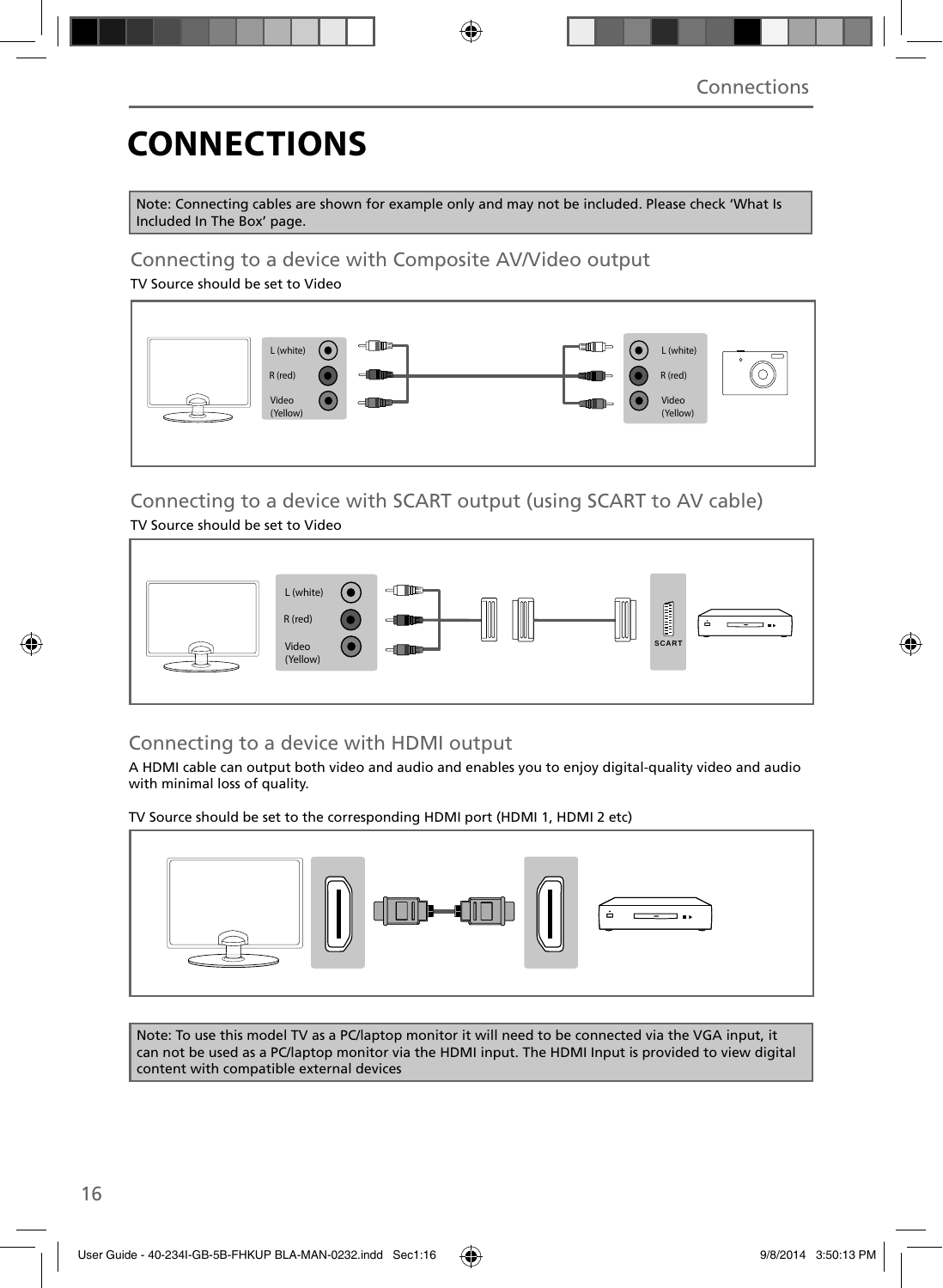# **CONNECTIONS**

Note: Connecting cables are shown for example only and may not be included. Please check 'What Is Included In The Box' page.

### Connecting to a device with Composite AV/Video output

TV Source should be set to Video



### Connecting to a device with SCART output (using SCART to AV cable)

TV Source should be set to Video



### Connecting to a device with HDMI output

A HDMI cable can output both video and audio and enables you to enjoy digital-quality video and audio with minimal loss of quality.

TV Source should be set to the corresponding HDMI port (HDMI 1, HDMI 2 etc)



Note: To use this model TV as a PC/laptop monitor it will need to be connected via the VGA input, it can not be used as a PC/laptop monitor via the HDMI input. The HDMI Input is provided to view digital content with compatible external devices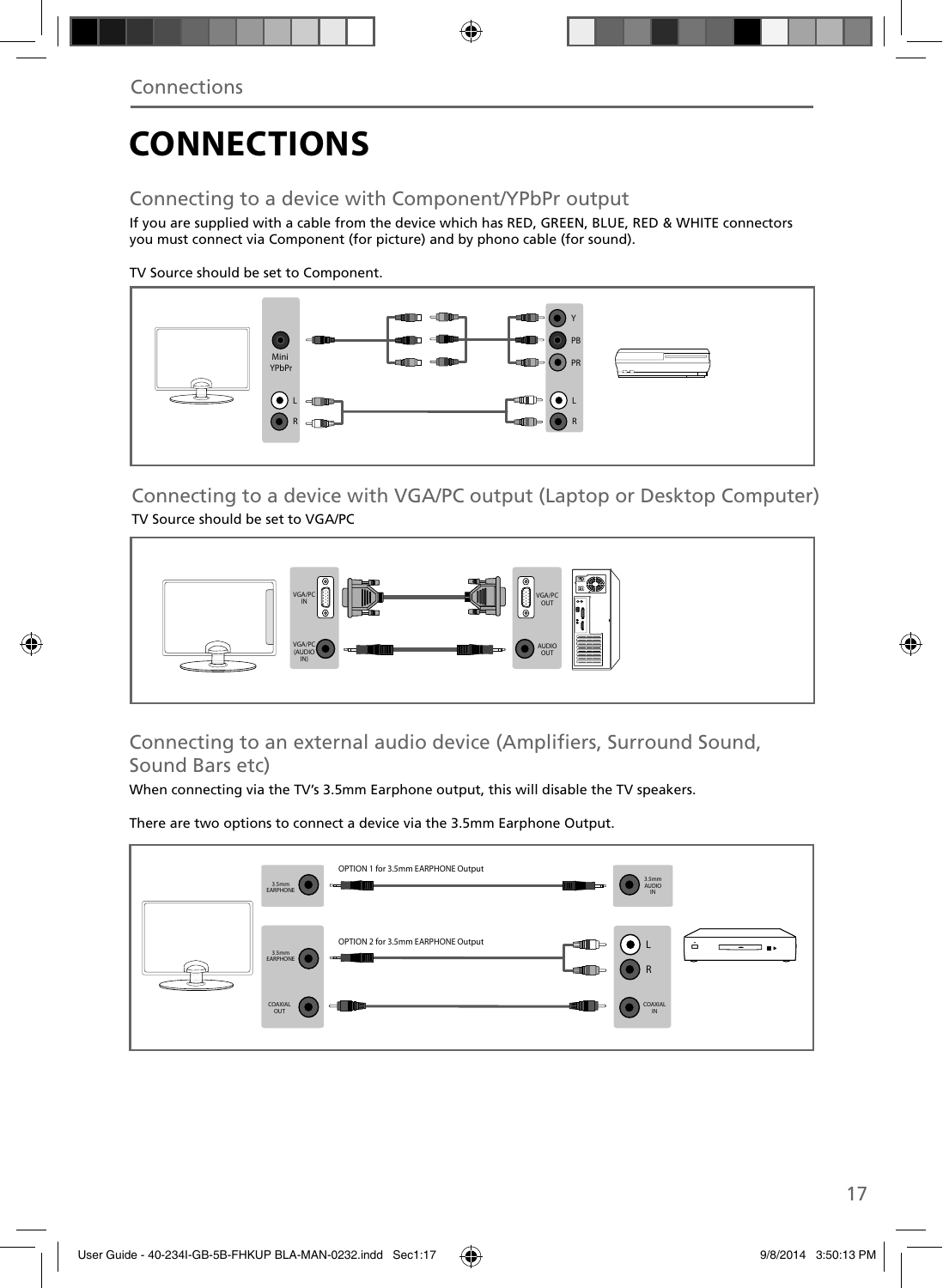# **CONNECTIONS**

### Connecting to a device with Component/YPbPr output

If you are supplied with a cable from the device which has RED, GREEN, BLUE, RED & WHITE connectors you must connect via Component (for picture) and by phono cable (for sound).

TV Source should be set to Component.



Connecting to a device with VGA/PC output (Laptop or Desktop Computer) TV Source should be set to VGA/PC



Connecting to an external audio device (Amplifiers, Surround Sound, Sound Bars etc)

When connecting via the TV's 3.5mm Earphone output, this will disable the TV speakers.

There are two options to connect a device via the 3.5mm Earphone Output.

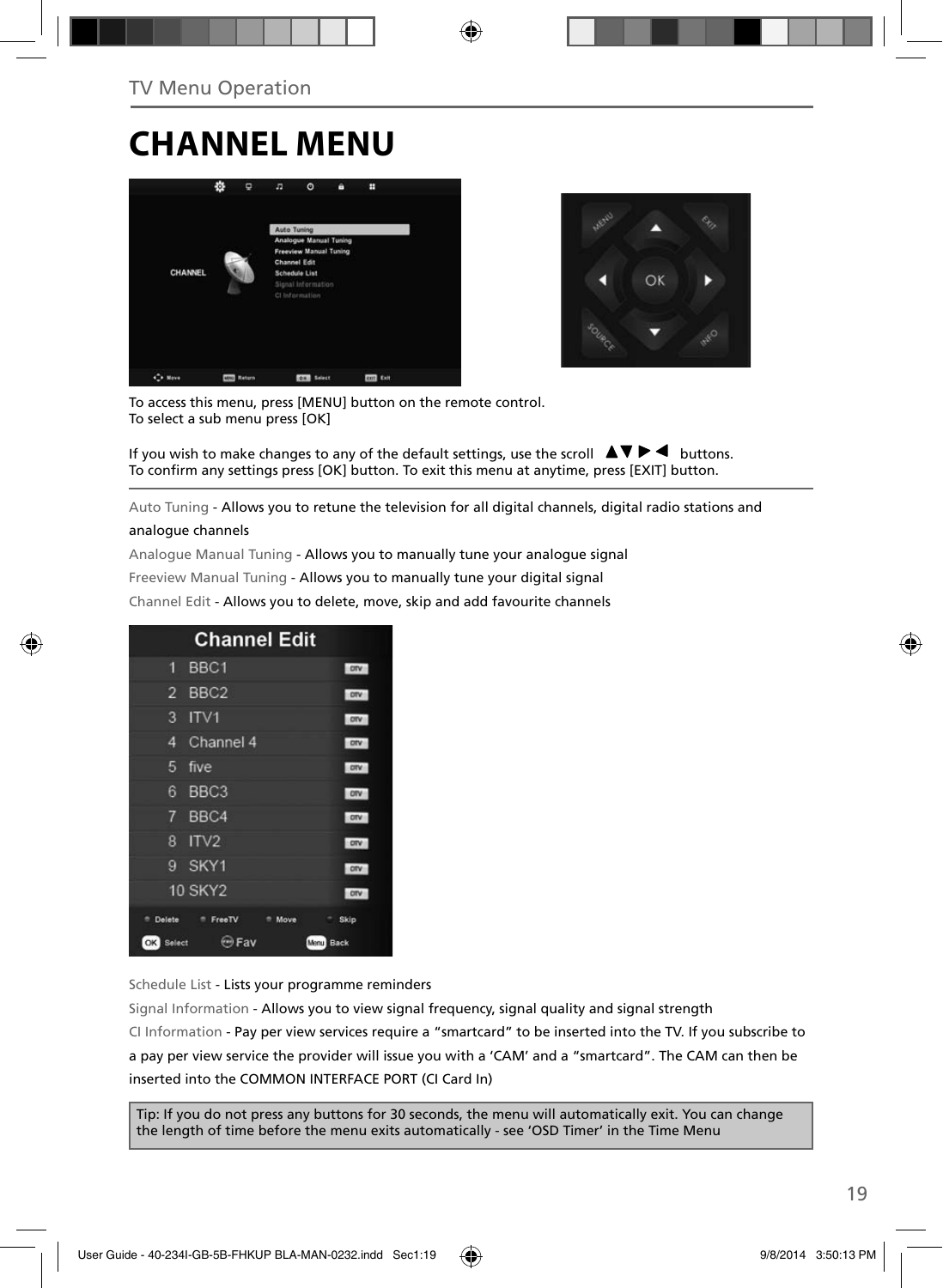### **CHANNEL MENU**





To access this menu, press [MENU] button on the remote control. To select a sub menu press [OK]

If you wish to make changes to any of the default settings, use the scroll  $\Box \blacktriangledown \blacktriangleright \blacktriangleleft$  buttons. To confirm any settings press [OK] button. To exit this menu at anytime, press [EXIT] button.

Auto Tuning - Allows you to retune the television for all digital channels, digital radio stations and

#### analogue channels

Analogue Manual Tuning - Allows you to manually tune your analogue signal

Freeview Manual Tuning - Allows you to manually tune your digital signal

Channel Edit - Allows you to delete, move, skip and add favourite channels

| <b>Channel Edit</b>                        |              |
|--------------------------------------------|--------------|
| BBC <sub>1</sub><br>1                      | orv          |
| BBC <sub>2</sub><br>$\overline{2}$         | otv          |
| 3<br>IV1                                   | orv          |
| Channel 4<br>4                             | <b>DIV</b>   |
| five<br>5                                  | otv          |
| BBC <sub>3</sub><br>6                      | ony          |
| 7<br>BBC4                                  | otv          |
| 8<br>ITV2                                  | ory          |
| 9<br>SKY1                                  | ony          |
| <b>10 SKY2</b>                             | orv          |
| Delete<br><sup>n</sup> FreeTV<br>۰<br>Move | Skip         |
| Fav<br>OK  <br>Select                      | Back<br>Menu |

Schedule List - Lists your programme reminders

Signal Information - Allows you to view signal frequency, signal quality and signal strength CI Information - Pay per view services require a "smartcard" to be inserted into the TV. If you subscribe to a pay per view service the provider will issue you with a 'CAM' and a "smartcard". The CAM can then be inserted into the COMMON INTERFACE PORT (CI Card In)

Tip: If you do not press any buttons for 30 seconds, the menu will automatically exit. You can change the length of time before the menu exits automatically - see 'OSD Timer' in the Time Menu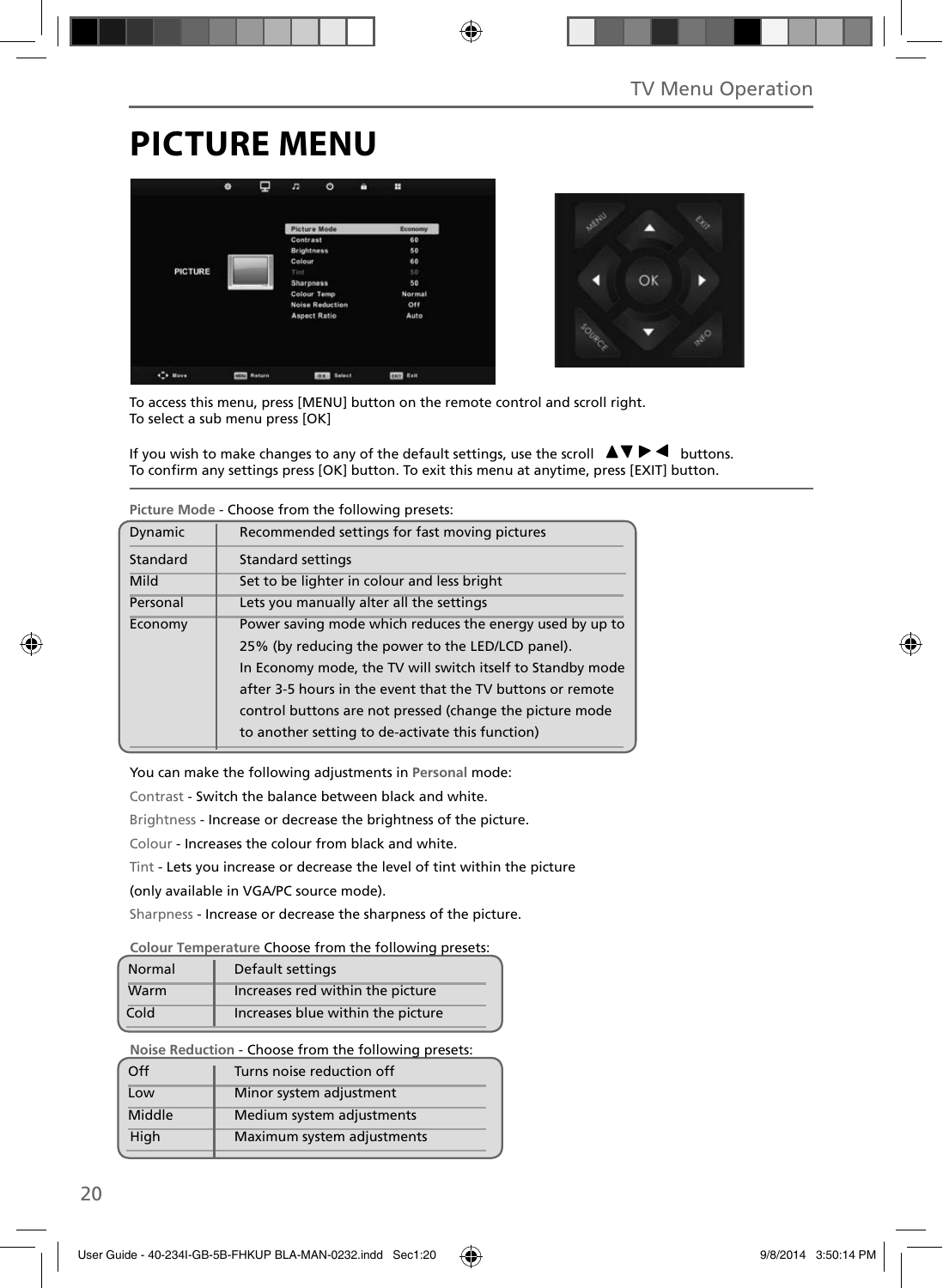# **PICTURE MENU**





To access this menu, press [MENU] button on the remote control and scroll right. To select a sub menu press [OK]

If you wish to make changes to any of the default settings, use the scroll  $\blacktriangle \blacktriangledown \blacktriangleright \blacktriangleleft$  buttons. To confirm any settings press [OK] button. To exit this menu at anytime, press [EXIT] button.

| Picture mode - Choose from the following presets: |                                                            |  |  |  |
|---------------------------------------------------|------------------------------------------------------------|--|--|--|
| Dynamic                                           | Recommended settings for fast moving pictures              |  |  |  |
| Standard                                          | <b>Standard settings</b>                                   |  |  |  |
| Mild                                              | Set to be lighter in colour and less bright                |  |  |  |
| Personal                                          | Lets you manually alter all the settings                   |  |  |  |
| Economy                                           | Power saving mode which reduces the energy used by up to   |  |  |  |
|                                                   | 25% (by reducing the power to the LED/LCD panel).          |  |  |  |
|                                                   | In Economy mode, the TV will switch itself to Standby mode |  |  |  |
|                                                   | after 3-5 hours in the event that the TV buttons or remote |  |  |  |
|                                                   | control buttons are not pressed (change the picture mode   |  |  |  |
|                                                   | to another setting to de-activate this function)           |  |  |  |

**Picture Mode** - Choose from the following presets:

You can make the following adjustments in **Personal** mode:

Contrast - Switch the balance between black and white.

Brightness - Increase or decrease the brightness of the picture.

Colour - Increases the colour from black and white.

Tint - Lets you increase or decrease the level of tint within the picture

(only available in VGA/PC source mode).

Sharpness - Increase or decrease the sharpness of the picture.

#### **Colour Temperature** Choose from the following presets:

| Normal | Default settings                  |
|--------|-----------------------------------|
| Warm   | Increases red within the picture  |
| Cold   | Increases blue within the picture |

**Noise Reduction** - Choose from the following presets:

| Turns noise reduction off  |
|----------------------------|
| Minor system adjustment    |
| Medium system adjustments  |
| Maximum system adjustments |
|                            |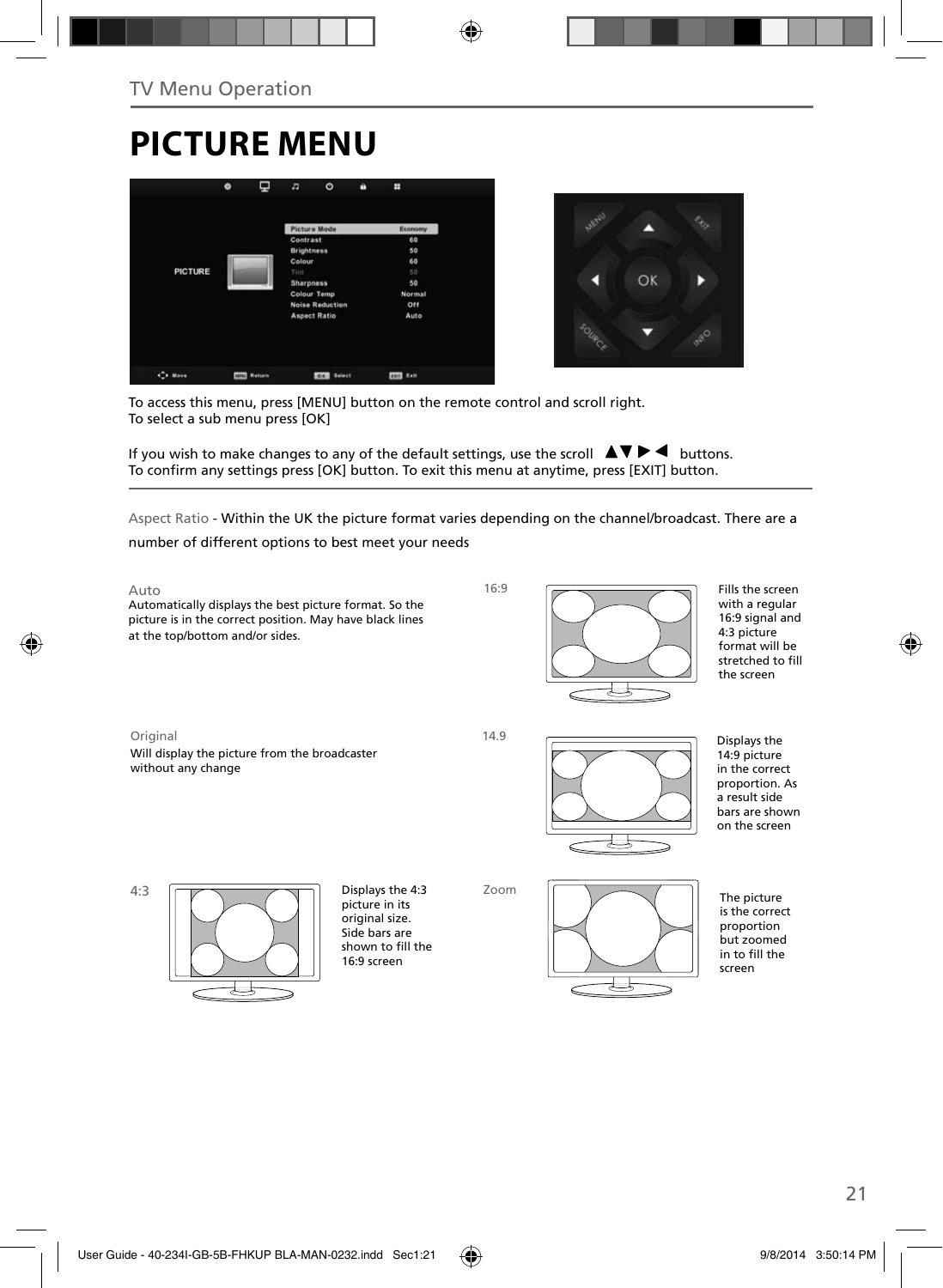# **PICTURE MENU**





To access this menu, press [MENU] button on the remote control and scroll right. To select a sub menu press [OK]

If you wish to make changes to any of the default settings, use the scroll  $\Box \blacktriangledown \blacktriangleright \blacktriangleleft$  buttons. To confirm any settings press [OK] button. To exit this menu at anytime, press [EXIT] button.

Aspect Ratio - Within the UK the picture format varies depending on the channel/broadcast. There are a

number of different options to best meet your needs

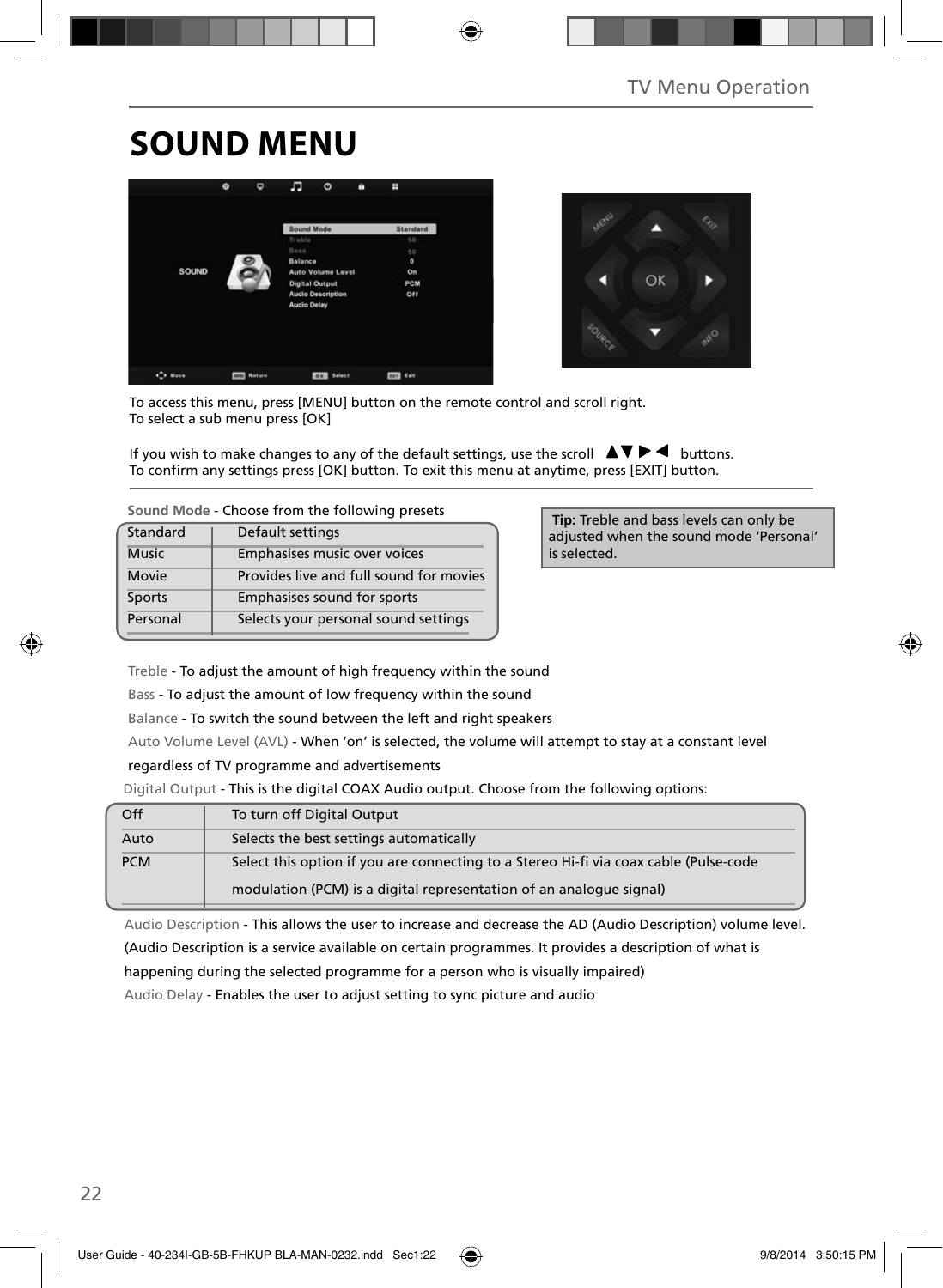# **SOUND MENU**





To access this menu, press [MENU] button on the remote control and scroll right. To select a sub menu press [OK]

If you wish to make changes to any of the default settings, use the scroll  $\Box \blacktriangledown \blacktriangleright \blacktriangleleft$  buttons. To confirm any settings press [OK] button. To exit this menu at anytime, press [EXIT] button.

| Standard     | Default settings                        |
|--------------|-----------------------------------------|
| <b>Music</b> | Emphasises music over voices            |
| Movie        | Provides live and full sound for movies |
| Sports       | Emphasises sound for sports             |
| Personal     | Selects your personal sound settings    |

 **Tip:** Treble and bass levels can only be adjusted when the sound mode 'Personal' is selected.

Treble - To adjust the amount of high frequency within the sound

Bass - To adjust the amount of low frequency within the sound

Balance - To switch the sound between the left and right speakers

Auto Volume Level (AVL) - When 'on' is selected, the volume will attempt to stay at a constant level

regardless of TV programme and advertisements

Digital Output - This is the digital COAX Audio output. Choose from the following options:

| Off        | To turn off Digital Output                                                            |
|------------|---------------------------------------------------------------------------------------|
| Auto       | Selects the best settings automatically                                               |
| <b>PCM</b> | Select this option if you are connecting to a Stereo Hi-fi via coax cable (Pulse-code |
|            | modulation (PCM) is a digital representation of an analogue signal)                   |

Audio Description - This allows the user to increase and decrease the AD (Audio Description) volume level.

(Audio Description is a service available on certain programmes. It provides a description of what is

happening during the selected programme for a person who is visually impaired)

Audio Delay - Enables the user to adjust setting to sync picture and audio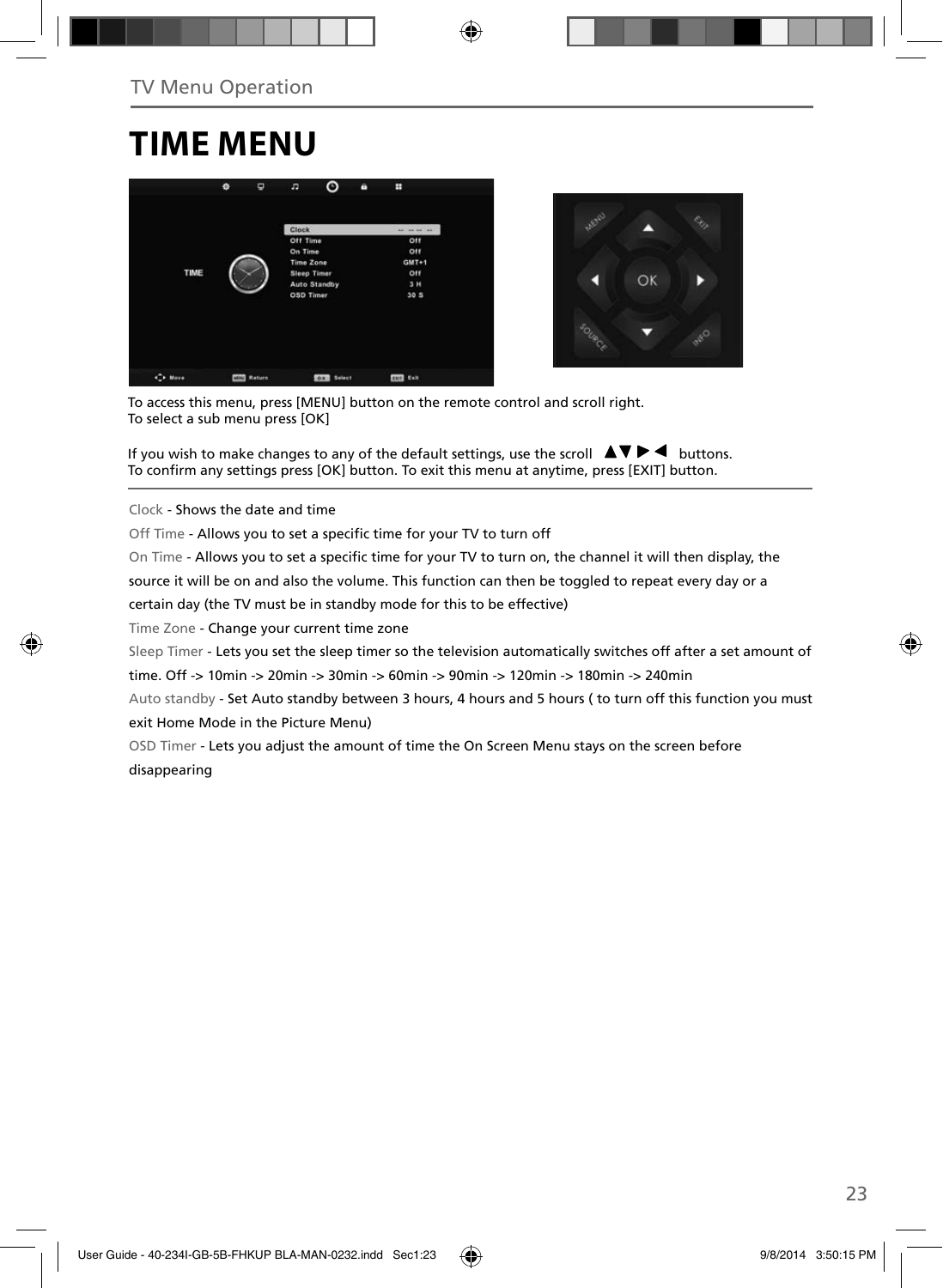### **TIME MENU**





To access this menu, press [MENU] button on the remote control and scroll right. To select a sub menu press [OK]

If you wish to make changes to any of the default settings, use the scroll  $\Box \blacktriangledown \blacktriangleright \blacktriangleleft$  buttons. To confirm any settings press [OK] button. To exit this menu at anytime, press [EXIT] button.

Clock - Shows the date and time

Off Time - Allows you to set a specific time for your TV to turn off

On Time - Allows you to set a specific time for your TV to turn on, the channel it will then display, the

source it will be on and also the volume. This function can then be toggled to repeat every day or a

certain day (the TV must be in standby mode for this to be effective)

Time Zone - Change your current time zone

Sleep Timer - Lets you set the sleep timer so the television automatically switches off after a set amount of

time. Off -> 10min -> 20min -> 30min -> 60min -> 90min -> 120min -> 180min -> 240min

Auto standby - Set Auto standby between 3 hours, 4 hours and 5 hours ( to turn off this function you must exit Home Mode in the Picture Menu)

OSD Timer - Lets you adjust the amount of time the On Screen Menu stays on the screen before disappearing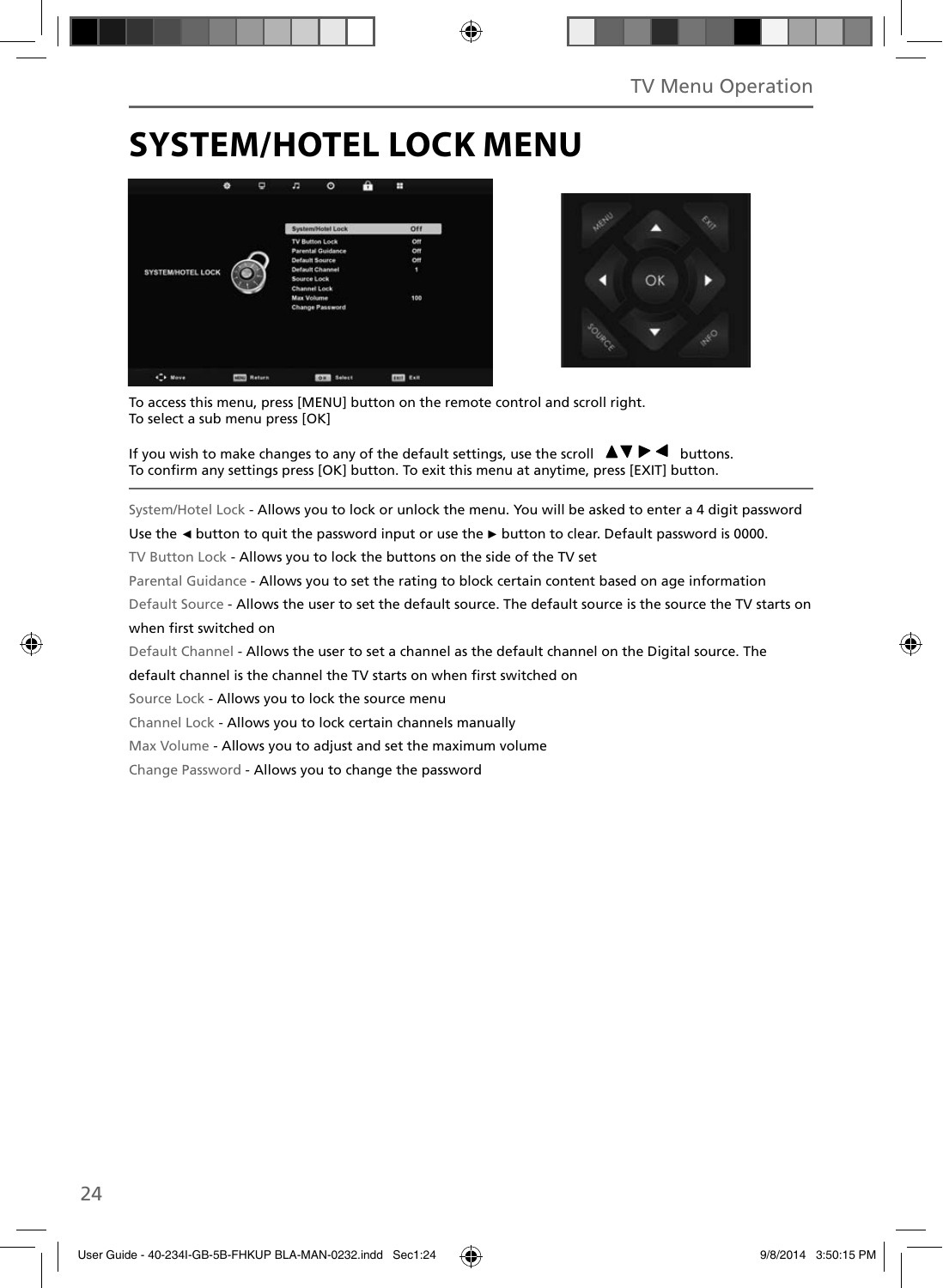### **SYSTEM/HOTEL LOCK MENU**





To access this menu, press [MENU] button on the remote control and scroll right. To select a sub menu press [OK]

If you wish to make changes to any of the default settings, use the scroll  $\Box \blacktriangledown \blacktriangleright \blacktriangleleft$  buttons. To confirm any settings press [OK] button. To exit this menu at anytime, press [EXIT] button.

System/Hotel Lock - Allows you to lock or unlock the menu. You will be asked to enter a 4 digit password

Use the **◄** button to quit the password input or use the **►** button to clear. Default password is 0000.

TV Button Lock - Allows you to lock the buttons on the side of the TV set

Parental Guidance - Allows you to set the rating to block certain content based on age information

Default Source - Allows the user to set the default source. The default source is the source the TV starts on when first switched on

Default Channel - Allows the user to set a channel as the default channel on the Digital source. The

default channel is the channel the TV starts on when first switched on

Source Lock - Allows you to lock the source menu

Channel Lock - Allows you to lock certain channels manually

Max Volume - Allows you to adjust and set the maximum volume

Change Password - Allows you to change the password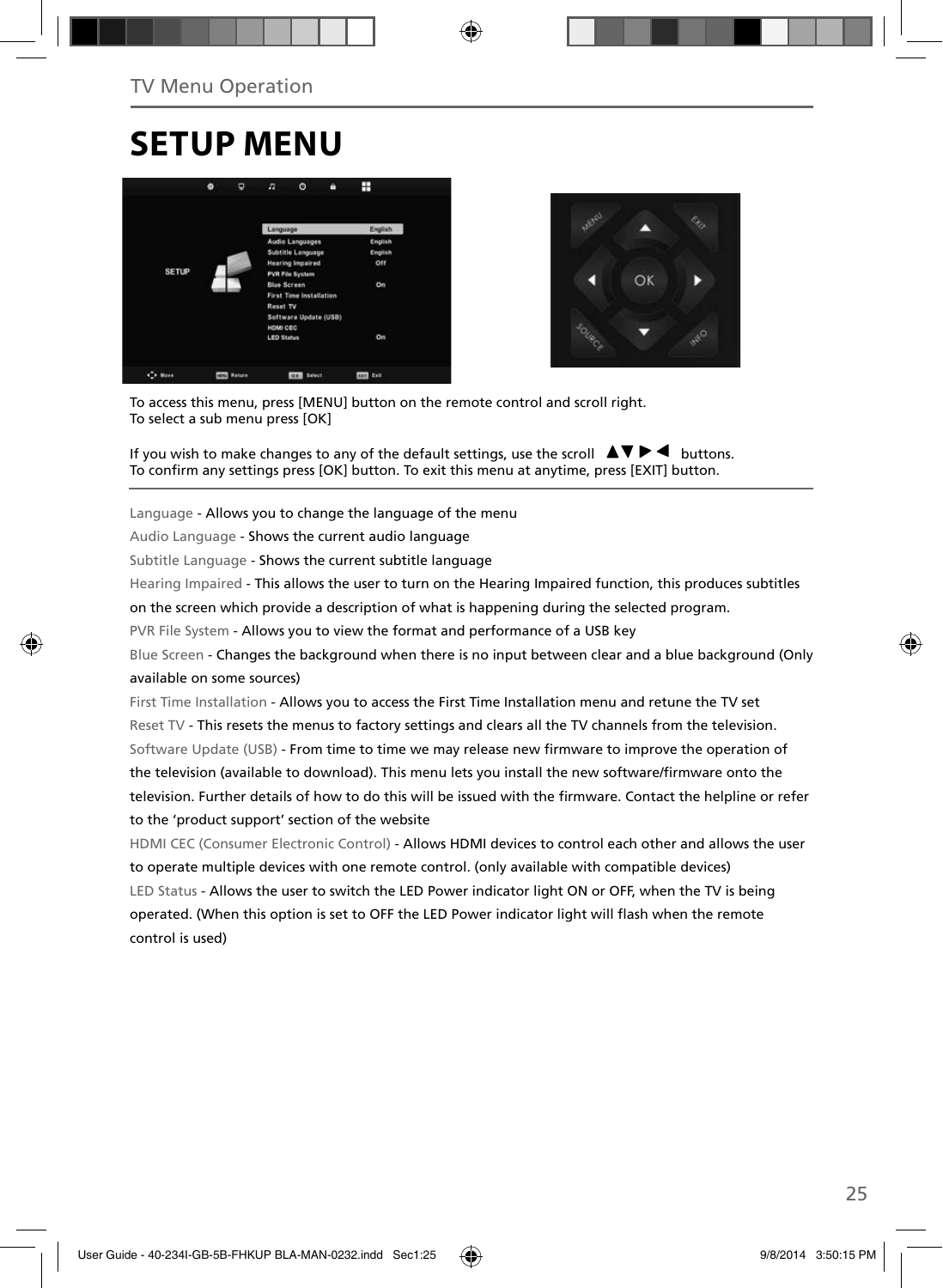### **SETUP MENU**





To access this menu, press [MENU] button on the remote control and scroll right. To select a sub menu press [OK]

If you wish to make changes to any of the default settings, use the scroll  $\Box \blacktriangledown \blacktriangleright \blacktriangleleft$  buttons. To confirm any settings press [OK] button. To exit this menu at anytime, press [EXIT] button.

Language - Allows you to change the language of the menu

Audio Language - Shows the current audio language

Subtitle Language - Shows the current subtitle language

Hearing Impaired - This allows the user to turn on the Hearing Impaired function, this produces subtitles

on the screen which provide a description of what is happening during the selected program.

PVR File System - Allows you to view the format and performance of a USB key

Blue Screen - Changes the background when there is no input between clear and a blue background (Only available on some sources)

First Time Installation - Allows you to access the First Time Installation menu and retune the TV set Reset TV - This resets the menus to factory settings and clears all the TV channels from the television. Software Update (USB) - From time to time we may release new firmware to improve the operation of the television (available to download). This menu lets you install the new software/firmware onto the television. Further details of how to do this will be issued with the firmware. Contact the helpline or refer to the 'product support' section of the website

HDMI CEC (Consumer Electronic Control) - Allows HDMI devices to control each other and allows the user to operate multiple devices with one remote control. (only available with compatible devices) LED Status - Allows the user to switch the LED Power indicator light ON or OFF, when the TV is being operated. (When this option is set to OFF the LED Power indicator light will flash when the remote control is used)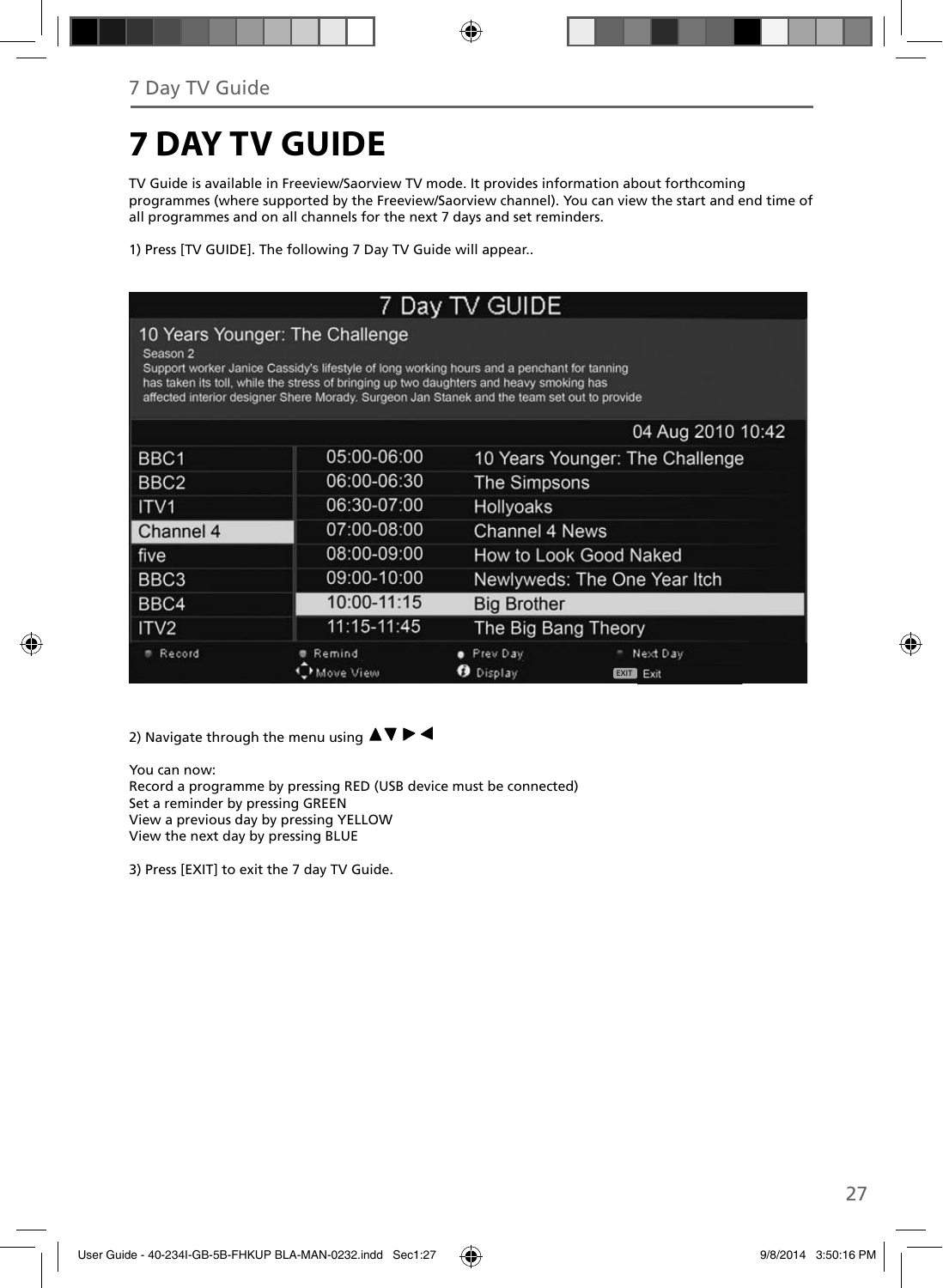# **7 DAY TV GUIDE**

TV Guide is available in Freeview/Saorview TV mode. It provides information about forthcoming programmes (where supported by the Freeview/Saorview channel). You can view the start and end time of all programmes and on all channels for the next 7 days and set reminders.

1) Press [TV GUIDE]. The following 7 Day TV Guide will appear..

| 7 Day TV GUIDE                                                                                                                                                                                                                                                                                                                      |                     |                                                      |  |  |  |  |  |
|-------------------------------------------------------------------------------------------------------------------------------------------------------------------------------------------------------------------------------------------------------------------------------------------------------------------------------------|---------------------|------------------------------------------------------|--|--|--|--|--|
| 10 Years Younger: The Challenge<br>Season 2<br>Support worker Janice Cassidy's lifestyle of long working hours and a penchant for tanning<br>has taken its toll, while the stress of bringing up two daughters and heavy smoking has<br>affected interior designer Shere Morady. Surgeon Jan Stanek and the team set out to provide |                     |                                                      |  |  |  |  |  |
|                                                                                                                                                                                                                                                                                                                                     |                     | 04 Aug 2010 10:42                                    |  |  |  |  |  |
| BBC1                                                                                                                                                                                                                                                                                                                                | 05:00-06:00         | 10 Years Younger: The Challenge                      |  |  |  |  |  |
| BBC <sub>2</sub>                                                                                                                                                                                                                                                                                                                    | 06:00-06:30         | <b>The Simpsons</b>                                  |  |  |  |  |  |
| ITV <sub>1</sub>                                                                                                                                                                                                                                                                                                                    | 06:30-07:00         | Hollyoaks                                            |  |  |  |  |  |
| Channel 4                                                                                                                                                                                                                                                                                                                           | 07:00-08:00         | Channel 4 News                                       |  |  |  |  |  |
| five                                                                                                                                                                                                                                                                                                                                | 08:00-09:00         | How to Look Good Naked                               |  |  |  |  |  |
| BBC <sub>3</sub>                                                                                                                                                                                                                                                                                                                    | 09:00-10:00         | Newlyweds: The One Year Itch                         |  |  |  |  |  |
| BBC4                                                                                                                                                                                                                                                                                                                                | 10:00-11:15         | <b>Big Brother</b>                                   |  |  |  |  |  |
| ITV <sub>2</sub>                                                                                                                                                                                                                                                                                                                    | 11:15-11:45         | The Big Bang Theory                                  |  |  |  |  |  |
| Record                                                                                                                                                                                                                                                                                                                              | Remind<br>Move View | Prev Day<br>Next Day<br>Display<br>ø<br>EXIT<br>Exit |  |  |  |  |  |

2) Navigate through the menu using  $\blacktriangle \blacktriangledown \blacktriangleright \blacktriangleleft$ 

You can now: Record a programme by pressing RED (USB device must be connected) Set a reminder by pressing GREEN View a previous day by pressing YELLOW View the next day by pressing BLUE

3) Press [EXIT] to exit the 7 day TV Guide.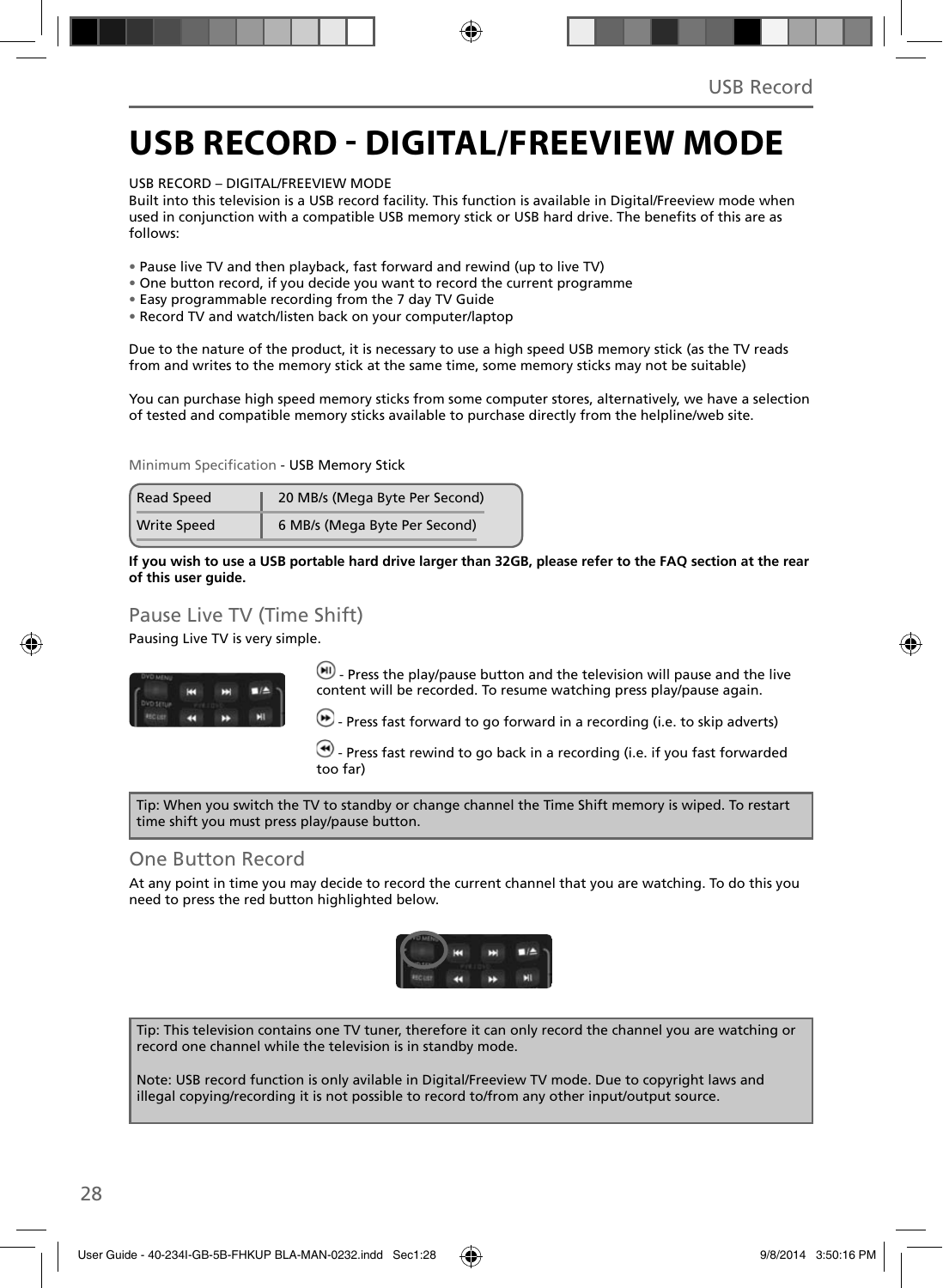### **USB RECORD - DIGITAL/FREEVIEW MODE**

USB RECORD – DIGITAL/FREEVIEW MODE

Built into this television is a USB record facility. This function is available in Digital/Freeview mode when used in conjunction with a compatible USB memory stick or USB hard drive. The benefits of this are as follows:

- Pause live TV and then playback, fast forward and rewind (up to live TV)
- One button record, if you decide you want to record the current programme
- Easy programmable recording from the 7 day TV Guide
- Record TV and watch/listen back on your computer/laptop

Due to the nature of the product, it is necessary to use a high speed USB memory stick (as the TV reads from and writes to the memory stick at the same time, some memory sticks may not be suitable)

You can purchase high speed memory sticks from some computer stores, alternatively, we have a selection of tested and compatible memory sticks available to purchase directly from the helpline/web site.

Minimum Specification - USB Memory Stick

| <b>Read Speed</b>  | 20 MB/s (Mega Byte Per Second) |  |
|--------------------|--------------------------------|--|
| <b>Write Speed</b> | 6 MB/s (Mega Byte Per Second)  |  |

**If you wish to use a USB portable hard drive larger than 32GB, please refer to the FAQ section at the rear of this user guide.**

### Pause Live TV (Time Shift)

Pausing Live TV is very simple.



 $(n)$  - Press the play/pause button and the television will pause and the live content will be recorded. To resume watching press play/pause again.

 $\bullet$  - Press fast forward to go forward in a recording (i.e. to skip adverts)

 $\bigcirc$  - Press fast rewind to go back in a recording (i.e. if you fast forwarded too far)

Tip: When you switch the TV to standby or change channel the Time Shift memory is wiped. To restart time shift you must press play/pause button.

### One Button Record

At any point in time you may decide to record the current channel that you are watching. To do this you need to press the red button highlighted below.



Tip: This television contains one TV tuner, therefore it can only record the channel you are watching or record one channel while the television is in standby mode.

Note: USB record function is only avilable in Digital/Freeview TV mode. Due to copyright laws and illegal copying/recording it is not possible to record to/from any other input/output source.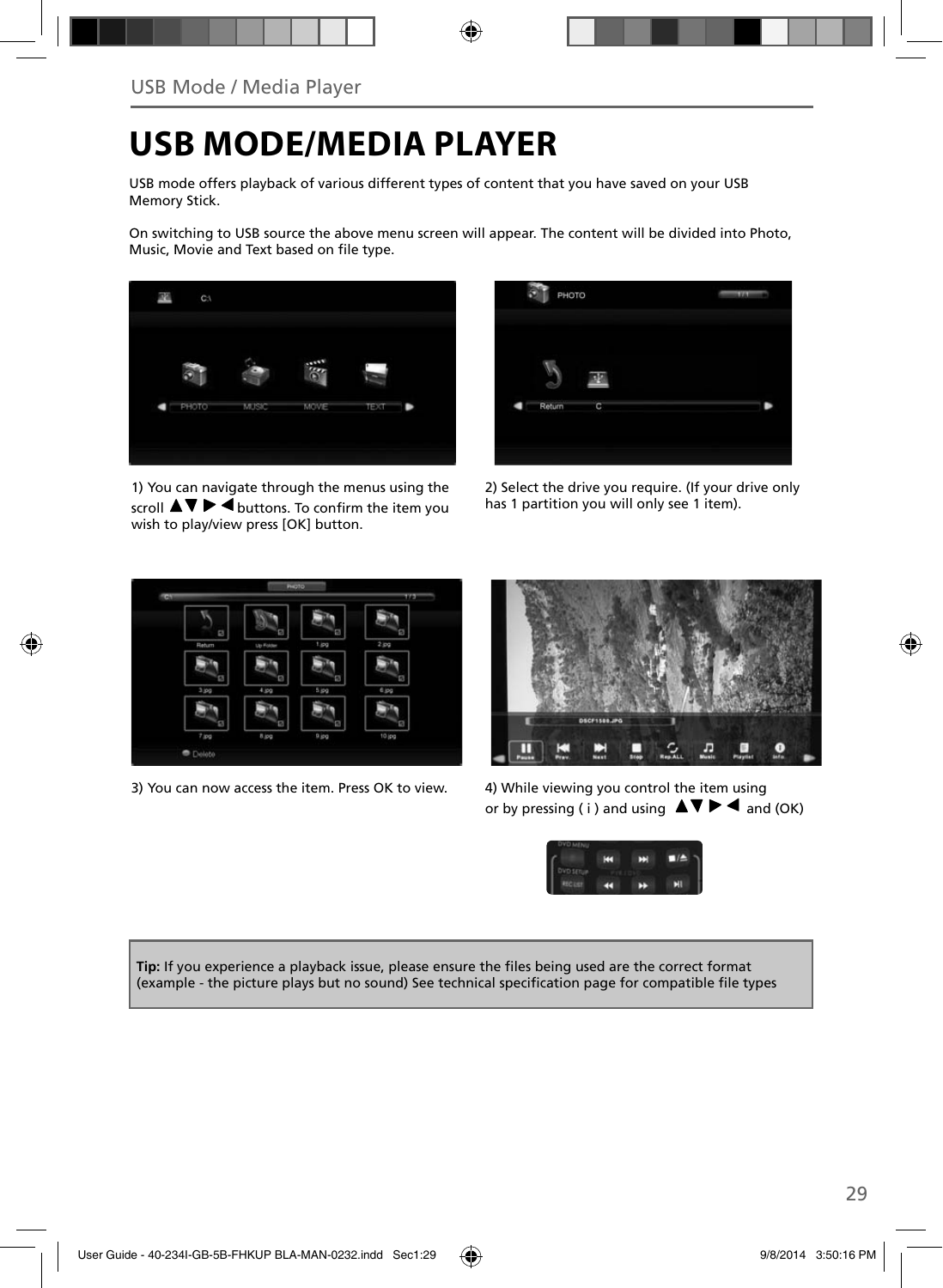### **USB MODE/MEDIA PLAYER**

USB mode offers playback of various different types of content that you have saved on your USB Memory Stick.

On switching to USB source the above menu screen will appear. The content will be divided into Photo, Music, Movie and Text based on file type.



1) You can navigate through the menus using the scroll  $\triangle \triangledown \triangleright \blacktriangleleft$  buttons. To confirm the item you wish to play/view press [OK] button.



2) Select the drive you require. (If your drive only has 1 partition you will only see 1 item).



3) You can now access the item. Press OK to view. 4) While viewing you control the item using



or by pressing ( i ) and using  $\Delta \nabla \blacktriangleright \blacktriangleleft$  and (OK)



Tip: If you experience a playback issue, please ensure the files being used are the correct format (example - the picture plays but no sound) See technical specification page for compatible file types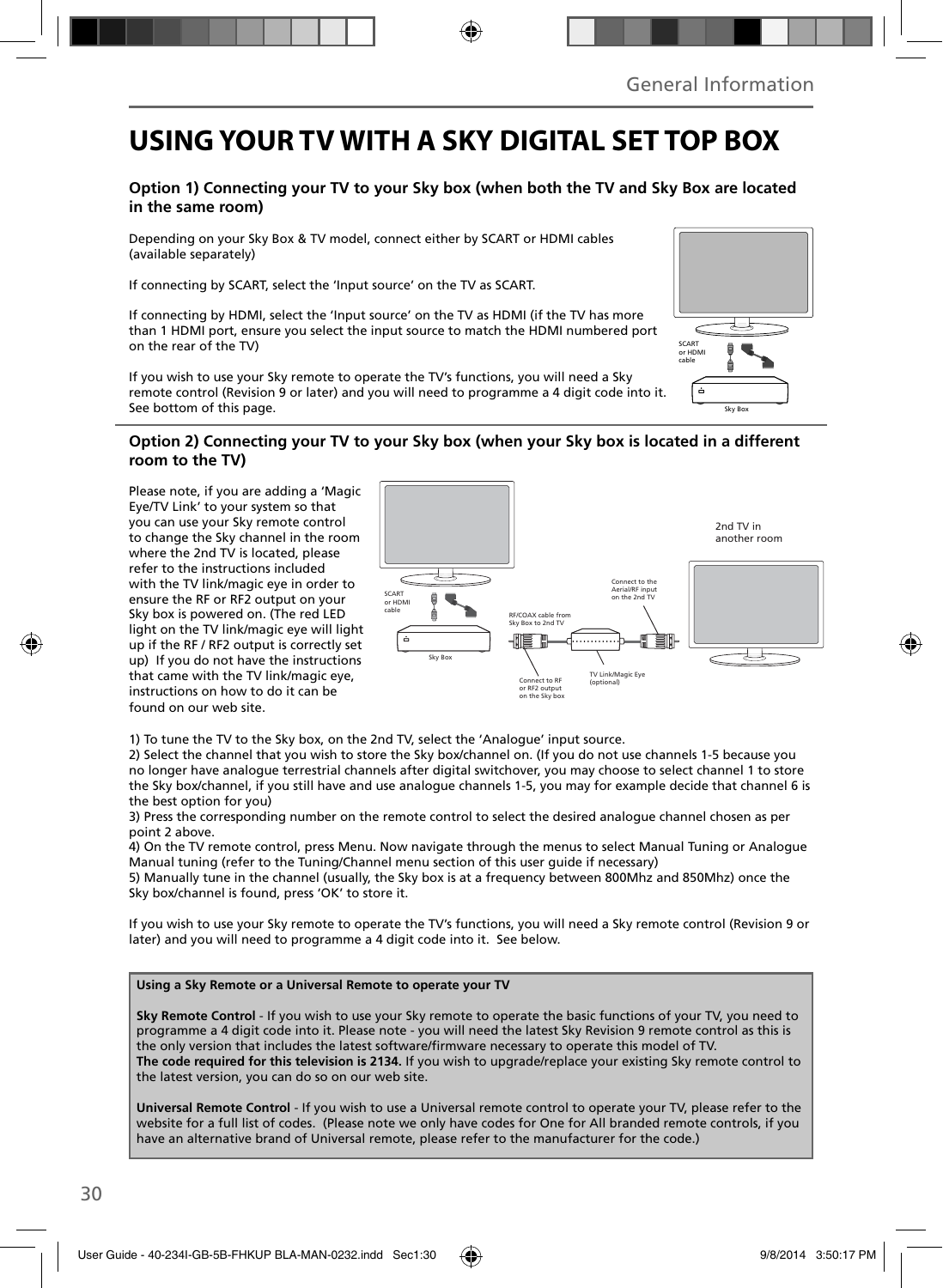### **USING YOUR TV WITH A SKY DIGITAL SET TOP BOX**

### **Option 1) Connecting your TV to your Sky box (when both the TV and Sky Box are located in the same room)**

Depending on your Sky Box & TV model, connect either by SCART or HDMI cables (available separately)

If connecting by SCART, select the 'Input source' on the TV as SCART.

If connecting by HDMI, select the 'Input source' on the TV as HDMI (if the TV has more than 1 HDMI port, ensure you select the input source to match the HDMI numbered port on the rear of the TV)

If you wish to use your Sky remote to operate the TV's functions, you will need a Sky remote control (Revision 9 or later) and you will need to programme a 4 digit code into it. See bottom of this page.

### SCART or HDI cable é Sky Box

#### **Option 2) Connecting your TV to your Sky box (when your Sky box is located in a different room to the TV)**

Please note, if you are adding a 'Magic Eye/TV Link' to your system so that you can use your Sky remote control to change the Sky channel in the room where the 2nd TV is located, please refer to the instructions included with the TV link/magic eye in order to ensure the RF or RF2 output on your Sky box is powered on. (The red LED light on the TV link/magic eye will light up if the RF / RF2 output is correctly set up) If you do not have the instructions that came with the TV link/magic eye, instructions on how to do it can be found on our web site.



1) To tune the TV to the Sky box, on the 2nd TV, select the 'Analogue' input source.

2) Select the channel that you wish to store the Sky box/channel on. (If you do not use channels 1-5 because you no longer have analogue terrestrial channels after digital switchover, you may choose to select channel 1 to store the Sky box/channel, if you still have and use analogue channels 1-5, you may for example decide that channel 6 is the best option for you)

3) Press the corresponding number on the remote control to select the desired analogue channel chosen as per point 2 above.

4) On the TV remote control, press Menu. Now navigate through the menus to select Manual Tuning or Analogue Manual tuning (refer to the Tuning/Channel menu section of this user guide if necessary)

5) Manually tune in the channel (usually, the Sky box is at a frequency between 800Mhz and 850Mhz) once the Sky box/channel is found, press 'OK' to store it.

If you wish to use your Sky remote to operate the TV's functions, you will need a Sky remote control (Revision 9 or later) and you will need to programme a 4 digit code into it. See below.

#### **Using a Sky Remote or a Universal Remote to operate your TV**

**Sky Remote Control** - If you wish to use your Sky remote to operate the basic functions of your TV, you need to programme a 4 digit code into it. Please note - you will need the latest Sky Revision 9 remote control as this is the only version that includes the latest software/firmware necessary to operate this model of TV. **The code required for this television is 2134.** If you wish to upgrade/replace your existing Sky remote control to the latest version, you can do so on our web site.

**Universal Remote Control** - If you wish to use a Universal remote control to operate your TV, please refer to the website for a full list of codes. (Please note we only have codes for One for All branded remote controls, if you have an alternative brand of Universal remote, please refer to the manufacturer for the code.)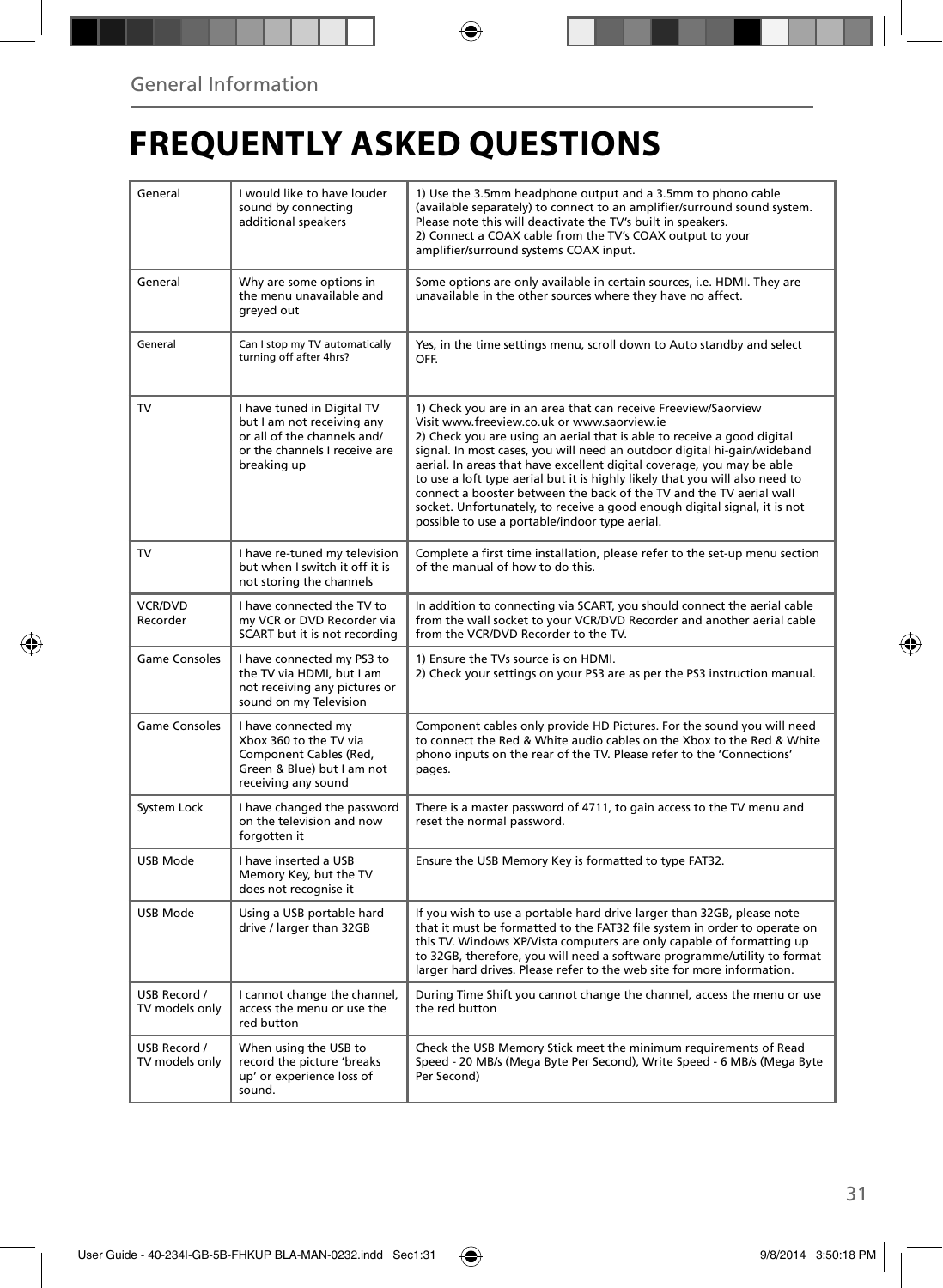# **FREQUENTLY ASKED QUESTIONS**

| General                        | I would like to have louder<br>sound by connecting<br>additional speakers                                                               | 1) Use the 3.5mm headphone output and a 3.5mm to phono cable<br>(available separately) to connect to an amplifier/surround sound system.<br>Please note this will deactivate the TV's built in speakers.<br>2) Connect a COAX cable from the TV's COAX output to your<br>amplifier/surround systems COAX input.                                                                                                                                                                                                                                                                                                                      |  |
|--------------------------------|-----------------------------------------------------------------------------------------------------------------------------------------|--------------------------------------------------------------------------------------------------------------------------------------------------------------------------------------------------------------------------------------------------------------------------------------------------------------------------------------------------------------------------------------------------------------------------------------------------------------------------------------------------------------------------------------------------------------------------------------------------------------------------------------|--|
| General                        | Why are some options in<br>the menu unavailable and<br>greyed out                                                                       | Some options are only available in certain sources, i.e. HDMI. They are<br>unavailable in the other sources where they have no affect.                                                                                                                                                                                                                                                                                                                                                                                                                                                                                               |  |
| General                        | Can I stop my TV automatically<br>turning off after 4hrs?                                                                               | Yes, in the time settings menu, scroll down to Auto standby and select<br>OFF.                                                                                                                                                                                                                                                                                                                                                                                                                                                                                                                                                       |  |
| TV                             | I have tuned in Digital TV<br>but I am not receiving any<br>or all of the channels and/<br>or the channels I receive are<br>breaking up | 1) Check you are in an area that can receive Freeview/Saorview<br>Visit www.freeview.co.uk or www.saorview.ie<br>2) Check you are using an aerial that is able to receive a good digital<br>signal. In most cases, you will need an outdoor digital hi-gain/wideband<br>aerial. In areas that have excellent digital coverage, you may be able<br>to use a loft type aerial but it is highly likely that you will also need to<br>connect a booster between the back of the TV and the TV aerial wall<br>socket. Unfortunately, to receive a good enough digital signal, it is not<br>possible to use a portable/indoor type aerial. |  |
| TV                             | I have re-tuned my television<br>but when I switch it off it is<br>not storing the channels                                             | Complete a first time installation, please refer to the set-up menu section<br>of the manual of how to do this.                                                                                                                                                                                                                                                                                                                                                                                                                                                                                                                      |  |
| <b>VCR/DVD</b><br>Recorder     | I have connected the TV to<br>my VCR or DVD Recorder via<br>SCART but it is not recording                                               | In addition to connecting via SCART, you should connect the aerial cable<br>from the wall socket to your VCR/DVD Recorder and another aerial cable<br>from the VCR/DVD Recorder to the TV.                                                                                                                                                                                                                                                                                                                                                                                                                                           |  |
| <b>Game Consoles</b>           | I have connected my PS3 to<br>the TV via HDMI, but I am<br>not receiving any pictures or<br>sound on my Television                      | 1) Ensure the TVs source is on HDMI.<br>2) Check your settings on your PS3 are as per the PS3 instruction manual.                                                                                                                                                                                                                                                                                                                                                                                                                                                                                                                    |  |
| <b>Game Consoles</b>           | I have connected my<br>Xbox 360 to the TV via<br>Component Cables (Red,<br>Green & Blue) but I am not<br>receiving any sound            | Component cables only provide HD Pictures. For the sound you will need<br>to connect the Red & White audio cables on the Xbox to the Red & White<br>phono inputs on the rear of the TV. Please refer to the 'Connections'<br>pages.                                                                                                                                                                                                                                                                                                                                                                                                  |  |
| System Lock                    | I have changed the password<br>on the television and now<br>forgotten it                                                                | There is a master password of 4711, to gain access to the TV menu and<br>reset the normal password.                                                                                                                                                                                                                                                                                                                                                                                                                                                                                                                                  |  |
| USB Mode                       | I have inserted a USB<br>Memory Key, but the TV<br>does not recognise it                                                                | Ensure the USB Memory Key is formatted to type FAT32.                                                                                                                                                                                                                                                                                                                                                                                                                                                                                                                                                                                |  |
| <b>USB Mode</b>                | Using a USB portable hard<br>drive / larger than 32GB                                                                                   | If you wish to use a portable hard drive larger than 32GB, please note<br>that it must be formatted to the FAT32 file system in order to operate on<br>this TV. Windows XP/Vista computers are only capable of formatting up<br>to 32GB, therefore, you will need a software programme/utility to format<br>larger hard drives. Please refer to the web site for more information.                                                                                                                                                                                                                                                   |  |
| USB Record /<br>TV models only | I cannot change the channel,<br>access the menu or use the<br>red button                                                                | During Time Shift you cannot change the channel, access the menu or use<br>the red button                                                                                                                                                                                                                                                                                                                                                                                                                                                                                                                                            |  |
| USB Record /<br>TV models only | When using the USB to<br>record the picture 'breaks<br>up' or experience loss of<br>sound.                                              | Check the USB Memory Stick meet the minimum requirements of Read<br>Speed - 20 MB/s (Mega Byte Per Second), Write Speed - 6 MB/s (Mega Byte<br>Per Second)                                                                                                                                                                                                                                                                                                                                                                                                                                                                           |  |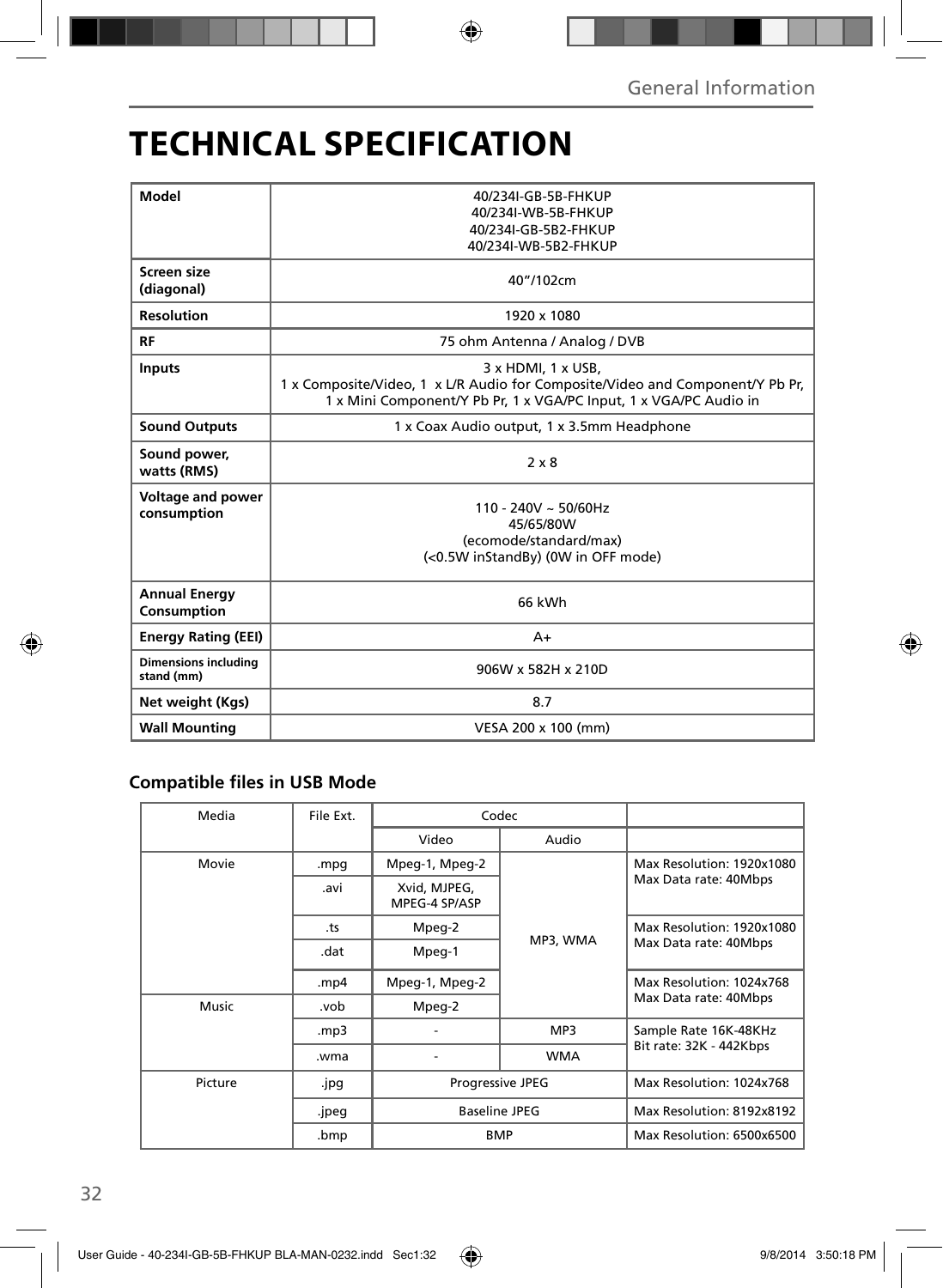# **TECHNICAL SPECIFICATION**

| Model                                     | 40/234I-GB-5B-FHKUP<br>40/234I-WB-5B-FHKUP<br>40/234I-GB-5B2-FHKUP<br>40/234I-WB-5B2-FHKUP                                                                               |  |  |  |
|-------------------------------------------|--------------------------------------------------------------------------------------------------------------------------------------------------------------------------|--|--|--|
| Screen size<br>(diagonal)                 | 40"/102cm                                                                                                                                                                |  |  |  |
| <b>Resolution</b>                         | 1920 x 1080                                                                                                                                                              |  |  |  |
| RF                                        | 75 ohm Antenna / Analog / DVB                                                                                                                                            |  |  |  |
| <b>Inputs</b>                             | 3 x HDMI, 1 x USB,<br>1 x Composite/Video, 1 x L/R Audio for Composite/Video and Component/Y Pb Pr,<br>1 x Mini Component/Y Pb Pr, 1 x VGA/PC Input, 1 x VGA/PC Audio in |  |  |  |
| <b>Sound Outputs</b>                      | 1 x Coax Audio output, 1 x 3.5mm Headphone                                                                                                                               |  |  |  |
| Sound power,<br>watts (RMS)               | $2 \times 8$                                                                                                                                                             |  |  |  |
| <b>Voltage and power</b><br>consumption   | $110 - 240V \sim 50/60Hz$<br>45/65/80W<br>(ecomode/standard/max)<br>(<0.5W inStandBy) (0W in OFF mode)                                                                   |  |  |  |
| <b>Annual Energy</b><br>Consumption       | 66 kWh                                                                                                                                                                   |  |  |  |
| <b>Energy Rating (EEI)</b>                | $A+$                                                                                                                                                                     |  |  |  |
| <b>Dimensions including</b><br>stand (mm) | 906W x 582H x 210D                                                                                                                                                       |  |  |  |
| Net weight (Kgs)                          | 8.7                                                                                                                                                                      |  |  |  |
| <b>Wall Mounting</b>                      | VESA 200 x 100 (mm)                                                                                                                                                      |  |  |  |

### **Compatible files in USB Mode**

| Media   | File Ext.                             | Codec                                                  |                       |                                                    |
|---------|---------------------------------------|--------------------------------------------------------|-----------------------|----------------------------------------------------|
|         |                                       | Video                                                  | Audio                 |                                                    |
| Movie   | .mpg                                  | Mpeg-1, Mpeg-2                                         |                       | Max Resolution: 1920x1080                          |
|         | Xvid, MJPEG,<br>.avi<br>MPEG-4 SP/ASP |                                                        | Max Data rate: 40Mbps |                                                    |
|         | .ts                                   | Mpeg-2                                                 | MP3, WMA<br>MP3       | Max Resolution: 1920x1080<br>Max Data rate: 40Mbps |
|         | .dat                                  | Mpeg-1                                                 |                       |                                                    |
|         | .mp4                                  | Mpeg-1, Mpeg-2                                         |                       | Max Resolution: 1024x768                           |
| Music   | .vob                                  | Mpeg-2                                                 |                       | Max Data rate: 40Mbps                              |
|         | mp3.                                  |                                                        |                       | Sample Rate 16K-48KHz                              |
|         | .wma                                  |                                                        | <b>WMA</b>            | Bit rate: 32K - 442Kbps                            |
| Picture | .jpg                                  | Progressive JPEG<br><b>Baseline JPEG</b><br><b>BMP</b> |                       | Max Resolution: 1024x768                           |
|         | .jpeg                                 |                                                        |                       | Max Resolution: 8192x8192                          |
|         | .bmp                                  |                                                        |                       | Max Resolution: 6500x6500                          |